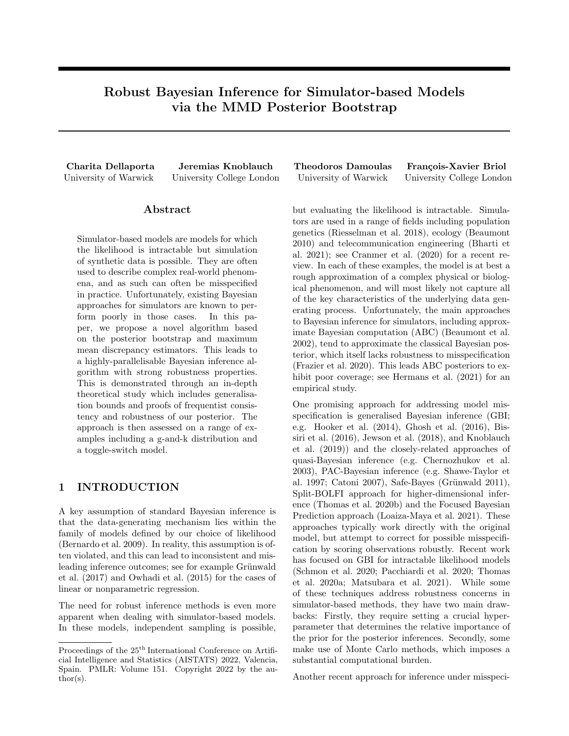# Robust Bayesian Inference for Simulator-based Models via the MMD Posterior Bootstrap

### Abstract

Simulator-based models are models for which the likelihood is intractable but simulation of synthetic data is possible. They are often used to describe complex real-world phenomena, and as such can often be misspecified in practice. Unfortunately, existing Bayesian approaches for simulators are known to perform poorly in those cases. In this paper, we propose a novel algorithm based on the posterior bootstrap and maximum mean discrepancy estimators. This leads to a highly-parallelisable Bayesian inference algorithm with strong robustness properties. This is demonstrated through an in-depth theoretical study which includes generalisation bounds and proofs of frequentist consistency and robustness of our posterior. The approach is then assessed on a range of examples including a g-and-k distribution and a toggle-switch model.

### 1 INTRODUCTION

A key assumption of standard Bayesian inference is that the data-generating mechanism lies within the family of models defined by our choice of likelihood (Bernardo et al. 2009). In reality, this assumption is often violated, and this can lead to inconsistent and misleading inference outcomes; see for example Grünwald et al. (2017) and Owhadi et al. (2015) for the cases of linear or nonparametric regression.

The need for robust inference methods is even more apparent when dealing with simulator-based models. In these models, independent sampling is possible,

Charita Dellaporta Jeremias Knoblauch Theodoros Damoulas François-Xavier Briol University of Warwick University College London University of Warwick University College London

> but evaluating the likelihood is intractable. Simulators are used in a range of fields including population genetics (Riesselman et al. 2018), ecology (Beaumont 2010) and telecommunication engineering (Bharti et al. 2021); see Cranmer et al. (2020) for a recent review. In each of these examples, the model is at best a rough approximation of a complex physical or biological phenomenon, and will most likely not capture all of the key characteristics of the underlying data generating process. Unfortunately, the main approaches to Bayesian inference for simulators, including approximate Bayesian computation (ABC) (Beaumont et al. 2002), tend to approximate the classical Bayesian posterior, which itself lacks robustness to misspecification (Frazier et al. 2020). This leads ABC posteriors to exhibit poor coverage; see Hermans et al. (2021) for an empirical study.

> One promising approach for addressing model misspecification is generalised Bayesian inference (GBI; e.g. Hooker et al. (2014), Ghosh et al. (2016), Bissiri et al. (2016), Jewson et al. (2018), and Knoblauch et al. (2019)) and the closely-related approaches of quasi-Bayesian inference (e.g. Chernozhukov et al. 2003), PAC-Bayesian inference (e.g. Shawe-Taylor et al. 1997; Catoni 2007), Safe-Bayes (Grünwald 2011), Split-BOLFI approach for higher-dimensional inference (Thomas et al. 2020b) and the Focused Bayesian Prediction approach (Loaiza-Maya et al. 2021). These approaches typically work directly with the original model, but attempt to correct for possible misspecification by scoring observations robustly. Recent work has focused on GBI for intractable likelihood models (Schmon et al. 2020; Pacchiardi et al. 2020; Thomas et al. 2020a; Matsubara et al. 2021). While some of these techniques address robustness concerns in simulator-based methods, they have two main drawbacks: Firstly, they require setting a crucial hyperparameter that determines the relative importance of the prior for the posterior inferences. Secondly, some make use of Monte Carlo methods, which imposes a substantial computational burden.

Another recent approach for inference under misspeci-

Proceedings of the  $25^{\text{th}}$  International Conference on Artificial Intelligence and Statistics (AISTATS) 2022, Valencia, Spain. PMLR: Volume 151. Copyright 2022 by the au- $\text{thor}(s)$ .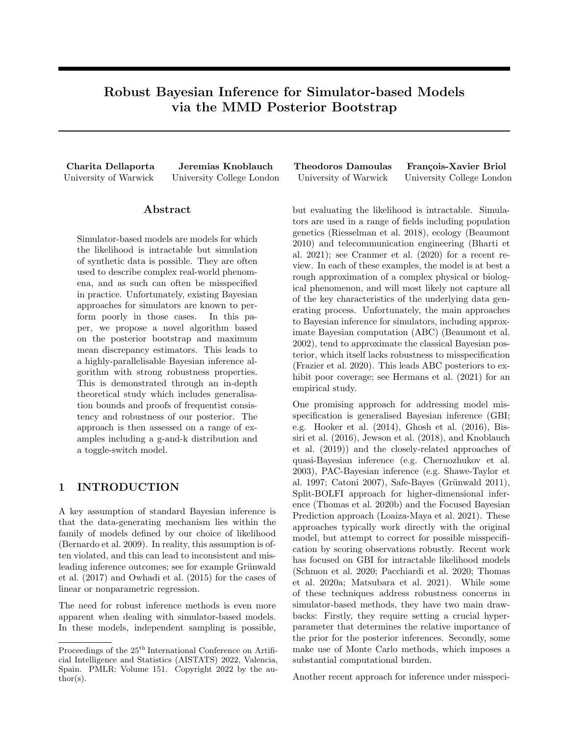fication is Bayesian nonparametric learning (NPL) (see Lyddon et al. 2018; Lyddon et al. 2019; Fong et al. 2019). Unlike GBI, NPL does not address misspecification by robustly scoring the statistical model. Instead, robustness is achieved by obtaining a non-parametric posterior directly on the data-generating process. This posterior then implies a posterior on the parameter of interest through the use of a robust loss function.

Our paper's contribution is the first NPL-based algorithm for simulators. Specifically, we leverage the NPL framework to obtain a posterior belief distribution about the parameters that minimise the maximum mean discrepancy (MMD) (Gretton et al. 2012) between our model and the data-generating mechanism. The MMD is a probability metric that is not only robust, but also easy to approximate through simulation—and therefore suitable for simulators. Further, the MMD has numerous desirable theoretical robustness and generalisation properties (see Briol et al. 2019; Chérief-Abdellatif et al. 2019; Chérief-Abdellatif et al. 2020). One of the main achievements of this paper is to show that these hold for our method whenever we use a bounded kernel. Additionally, unlike ABC or GBI, our approach is computationally efficient: it is trivially parallelisable, and never requires discarding parameter samples or using inherently sequential Monte Carlo methods.

The paper is structured as follows. In Section 2, we recall the details of NPL and introduce MMD estimators. In Section 3, we propose our novel algorithm which combines these concepts to create a scalable approach for robust Bayesian inference with simulators. Then, Section 4 provides theoretical results including consistency and robustness. Finally, Section 5 studies the algorithm on a range of benchmark problems for simulators including the g-and-k distribution, and a toggle-switch model describing the interaction of genes through time.

# 2 BACKGROUND

Let  $X$  denote our data space,  $P$  the space of Borel distributions on  $X$ , and  $P$  2 P the true data-generating mechanism of our data. In Bayesian statistics, given observations  $x_{1:n} = x_1, \ldots, x_n$  id  $\triangleright$ , one chooses a parametric model  $P_{\Theta} = \mathcal{P}_{\theta} : \theta \supseteq \Theta g$  P. Given  $P_{\Theta}$ , the Bayesian now places a prior on the parameter  $\theta$ , and then conditions on  $x_{1:n}$  to obtain a posterior on  $θ$ . For standard Bayesian inference to be wellbehaved, we have to assume that  $P_{\Theta}$  is well-specified; i.e  $\mathcal{H}_0$  2  $\Theta$  such that  $P_{\theta_0} = \mathbb{P}$ . When this assumption is violated, we call the model misspecified.

Misspecification in the Bayesian context has recently

seen increasing interest since the Bayesian posterior does not provide robust parameter inferences (see Grünwald 2012). This has led to GBI and NPL approaches aimed at rectifying the issue. Another approach, albeit not specifically for simulators, is the BayesBag algorithm (Huggins et al. 2019). In this paper, we combine the strengths of GBI and NPL approaches for robust inference with simulators.

### 2.1 Simulator-Based Inference

The problem of simulator-based models is a significant challenge for Bayesians. Consider some  $P_{\theta}$  2  $P_{\Theta}$  with fixed  $\theta \, \partial \Theta$ , whose density is the likelihood  $p(\theta)$  and suppose we have a prior  $\pi(\theta)$  on the parameter. The corresponding posterior density is given by

$$
\pi(\theta \,|\, x_{1:n}) = \frac{\prod_{i=1}^n p(x_i \,|\, \theta) \pi(\theta)}{\int_{\Theta} \prod_{i=1}^n p(x_i \,|\, \theta) \pi(\theta) d\theta} \nearrow \prod_{i=1}^n p(x_i \,|\, \theta) \pi(\theta).
$$

The latter is intractable whenever the likelihood  $p(j\theta)$ cannot be evaluated pointwise. This has led to the development of simulator-based inference methods (sometimes also called likelihood-free inference methods).

In this paper, we focus on simulator-based models (also called generative models), which are parametric families. This means that  $P_{\theta}$  can be represented using a distribution  $\cup$  on a space  $\cup$  and a simulator  $G_{\theta}: U \neq X$  so that a sample  $y \in P_{\theta}$  from the model can be obtained by first sampling  $u \cup$ , and then applying the simulator  $y := G_{\theta}(u) \supseteq X$ .

Approximate Bayesian Computation ABC algorithms are arguably the most popular family of techniques for tackling Bayesian posteriors of simulatorbased models (see Beaumont et al. 2002; Sisson et al. 2018; Beaumont 2019). Most ABC algorithms are a variation of the following steps:

- (i) For  $b = 1, 2, ...B$  and prior  $\pi$ , sample  $\theta_b$ <sup>iid</sup>  $\pi$ ;
- (ii) For each  $\theta_b$ , sample m realisations from  $\mathsf{P}_{\theta_b}$  (i.e. simulate  $u_{1:m}$ <sup>iid</sup>  $\cup$  and set  $y_i^{(b)} = G_{\theta_b}(u_i)$   $\beta i$ ;
- (iii) Compare  $y_{1:m}^{(b)}$  with the true data  $x_{1:n}$  using a discrepancy  $D : P \subset P$  ! R:  $D(P_n, \widehat{P}_{\theta_b})$  where  $P_n = \frac{1}{n} \sum_{i=1}^n \delta_{x_i}$  and  $\widehat{P}_{\theta_b} = \frac{1}{m} \sum_{j=1}^m \delta_{y_j^{(b)}}$ .
- (iv) Weight  $\theta_b$  as an approximate sample from the posterior according to  $D(\mathcal{P}_n, \widehat{\mathcal{P}}_{\theta_b})$ .

The function  $D$  is often chosen to be a discrepancy comparing summary statistics of the two datasets, but could also be a probability metric. For example, Bernton et al. (2019) used the Wasserstein distance, whilst Park et al. (2016) used the MMD. Step (iv) is usually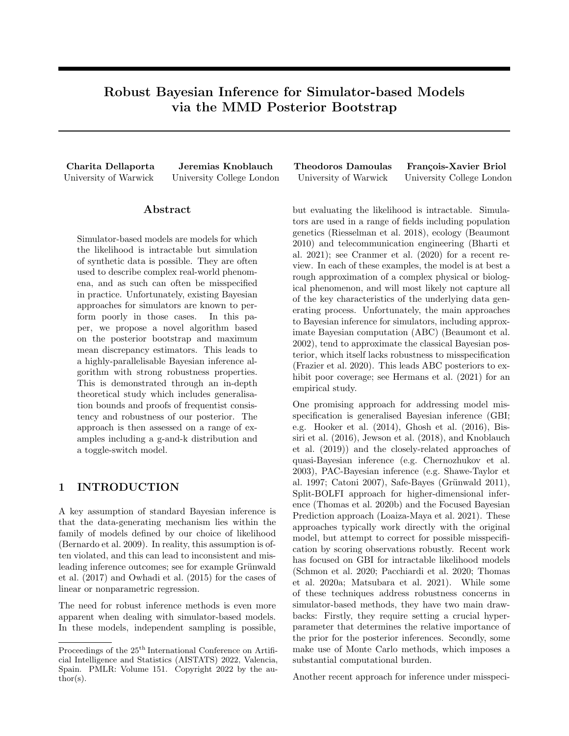implemented by verifying whether the discrepancy is smaller than some threshold  $\varepsilon$ , accepting the sample  $\theta_b$  if so, and rejecting it otherwise. This leads to the following approximation of the standard Bayesian posterior density:

$$
\pi_{\text{ABC}}(\theta \mid x_{1:n}) \nearrow \int_X \cdots \int_X \prod_{j=1}^m 1_{fD(\mathbb{P}_n, (\mathbb{P}_{\theta})_m) < \varepsilon g}(\theta) \np(y_j|\theta) \pi(\theta) dy_1 \dots dy_m.
$$

Smaller values of  $\varepsilon$  imply an increased computational cost since more parameter samples will be rejected. However, as  $\varepsilon$  ! 0, the ABC posterior approaches the standard Bayesian posterior  $\pi(\theta|x_{1:n})$ . The latter is usually seen as a desirable property of ABC, but it can lead to poor performance because the Bayesian posterior itself lacks robustness to misspecification.

Although the prototype ABC algorithm above is parallelisable, it will tend to be inefficient because many samples will be rejected whenever  $\epsilon$  is small. As a result, it is common to use inherently sequential algorithms such as population Monte Carlo (Beaumont et al. 2009) or sequential Monte Carlo with adaptive resampling (Del Moral et al. 2012).

Alternative Approaches There are a number of perhaps less prominent alternative approaches for Bayesian inference for simulators, including Bayesian synthetic likelihoods (Price et al. 2017) and techniques relying on neural density estimation (see e.g. Papamakarios et al. 2016; Papamakarios et al. 2019; Cranmer et al. 2020). Just like ABC, all these approaches are non-robust since they approximate the standard Bayesian posterior.

### 2.2 Generalised Bayesian Inference (GBI)

To address the robustness concern for standard Bayesian inference, GBI approaches have recently been proposed. In GBI,  $l_n : \mathcal{X}^n \quad \Theta \neq \mathbb{R}$  denotes any (empirical) loss function and  $\beta > 0$  a learning rate. Then, the associated GBI posterior's density is

$$
\pi_{\text{GBI}}(\theta \, \text{j} \, x_{1:n}) = \frac{\exp \text{f}}{\int_{\Theta} \exp \text{f}} \frac{\beta l_n(x_{1:n}, \theta) g \pi(\theta)}{\beta l_n(x_{1:n}, \theta) g \pi(\theta) d\theta}.
$$

Here, the loss is typically chosen in relation to the likelihood model  $p(x_{1:n} \mid \theta) = \prod_{i=1}^{n} p(x_i \mid \theta)$ . Indeed, it is easy to see that for the standard Bayesian posterior, one chooses  $l_n(x_{1:n}, \theta) = \log p(x_{1:n}, \theta)$ . From this, it also becomes clear that the Bayes posterior's lack of robustness is intimately related to choosing the loss function  $l_n(x_{1:n}, \theta) = \log p(x_{1:n}, \theta)$ . To address this, a host of generalised posteriors have been derived by choosing a discrepancy D with desirable robustness properties, and then seeking to find a loss so that  $l_n(x_{1:n}, \theta)$  D(P, P<sub> $\theta$ </sub>) (see Jewson et al. 2018).



Figure 1: Sketch of the posterior bootstrap. Samples from the NPL posterior on  $\Theta$  are obtained by mapping realisations of the posterior  $\hat{\nu}$  through the map  $\theta^*$ .

GBI for robustness in simulator-based inference has been studied in Pacchiardi et al. (2021) and Schmon et al. (2020). The main drawback of the proposals in both papers are two-fold: firstly, the uncertainty quantification properties of  $\pi_{\text{GBI}}(\theta \mid x_{1:n})$  depend on  $\beta$ , which can only be chosen based on rough heuristics (see Wu et al. 2020). Furthermore, the methods require techniques that are computationally more cumbersome: Pacchiardi et al. (2021) use an inherently sequential sampling method based on pseudo-marginal MCMC (Andrieu et al. 2009), and Schmon et al. (2020) relies on standard ABC methods.

In this paper, we perform Bayesian inference under model misspecification through a robust discrepancy like in GBI methods—but without relying on computationally burdensome methods like in ABC.

### 2.3 Bayesian Nonparametric Learning (NPL)

While the Bayesian nonparametric learning (NPL) framework of Lyddon et al. (2018) was introduced to deal with misspecification, it also possesses attractive computational properties. NPL defines a nonparametric prior directly on the true data-generating process P , which in turn leads to a nonparametric posterior on P. Any posterior on the parameter space  $\Theta$  of  $P_{\Theta}$ induced by NPL thus derives from this nonparametric posterior on P. Note that this is different, but closely related to, standard Bayesian inference where conditioning occurs at the level of parameters as opposed to the level of the data-generating process.

Following Lyddon et al. (2018) and Fong et al. (2019), we use a Dirichlet Process (DP) prior on the datagenerating process:  $P = DP(\alpha, F)$ . Here,  $\alpha > 0$  is a concentration parameter and  $\overline{F}$  2 P a centering measure. Given  $x_{1:n}$  id  $\rho$ , it follows by conjugacy that

$$
\mathsf{P} \ jx_{1:n} \ \mathsf{DP} \left( \alpha^{\theta}, \mathsf{F}^{\theta} \right),
$$
\n
$$
\alpha^{\theta} = \alpha + n, \qquad \mathsf{F}^{\theta} = \frac{\alpha}{\alpha + n} \mathsf{F} + \frac{n}{\alpha + n} \mathsf{P}_n \tag{1}
$$

where  $P_n := \frac{1}{n} \sum_{i=1}^n \delta_{x_i}$  and  $\delta_x$  is a Dirac measure at  $x \neq 2$  X. The size of  $\alpha$  quantifies our confidence in the quality of the prior centering measure F and regulates the influence of the prior on the posterior. Accordingly, the limiting case of  $\alpha = 0$  corresponds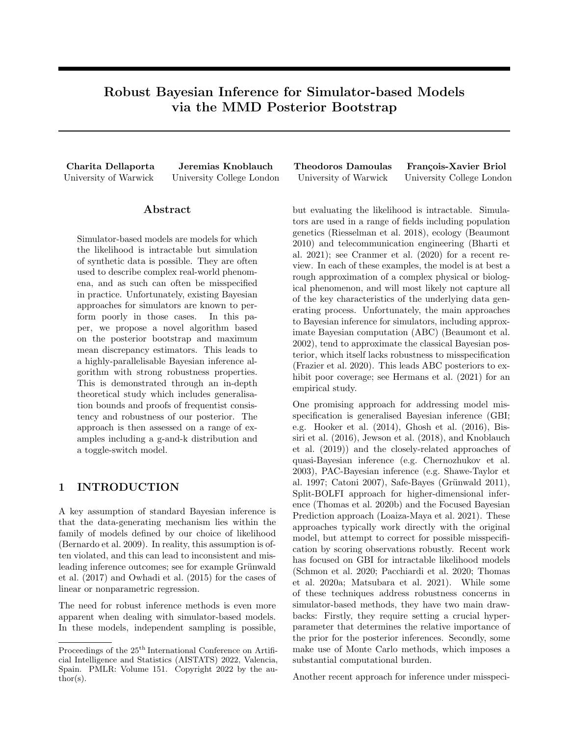to a non-informative prior and results in the posterior DP $(n, P_n)$ . Hence, unlike the hyperparameter  $\beta$ in GBI, the heuristic  $\alpha = 0$  has a clear interpretation and yields reliable uncertainty quantification (see Fong et al. 2019; Knoblauch et al. 2020; Galvani et al. 2021).

The posterior on the data-generating process is readily translated into a posterior on a parameter space Θ. Suppose we know the true data-generating process P and a loss  $l : X \Theta$  / R. Clearly, having access to  $P$  is equivalent to having access to infinitely many data points. Consequently, no Bayesian uncertainty is needed, and one can simply compute

$$
\theta_{l}\left(\mathsf{P}\right):=\arg\inf\nolimits_{\theta\mathcal{Q}\Theta}\mathsf{E}_{X}\;\; \mathsf{P}\;\left[l(X,\theta)\right]. \eqno(2)
$$

In practice, we do *not* know the true data-generating process. However, we have a posterior belief over it, so that the simple push-forward measure  $(\theta_l)_\#(\text{DP}(\alpha^{\ell}, \mathsf{F}^{\ell}))$  gives a posterior on  $\Theta$  denoted by  $\Pi_{\text{NPL}}$ . This is illustrated in Figure 1.

For the reader who is not familiar with pushforward distributions,  $\Pi_{\text{NPL}}$  is best understood through the following sampling mechanism to obtain independent realisations from  $\Pi_{\text{NPL}}$ . At iteration j,

- 1. Sample  $P^{(j)}$  from the posterior DP in (1);
- 2. Compute  $\theta^{(j)} = \theta_l(\mathsf{P}^{(j)})$  using (2).

This procedure is trivially parallelisable and does not discard any samples. It therefore overcomes the computational inefficiencies of ABC-based methods, whose rejection rate for samples is typically quite high especially as  $\varepsilon$  is moved closer to zero.

Exact sampling from a DP as in step 1 above is usually infeasible. The most common approximation is the truncated stick-breaking procedure (Sethuraman 1994). This procedure in turn can be approximated by the Dirichlet approximation of the stick breaking process (Muliere et al. 1996; Ishwaran et al. 2002). In our case, this leads to

$$
\tilde{x}_{1:T}^{(j) \text{ iid}} \text{F}, \quad (w_{1:n}^{(j)}, \tilde{w}_{1:T}^{(j)}) \quad \text{Dir}(1, \dots, 1, \frac{\alpha}{T}, \dots, \frac{\alpha}{T}).
$$
\n
$$
\text{P}^{(j)} \quad \sum_{i=1}^{n} w_i^{(j)} \delta_{x_i} + \sum_{k=1}^{T} \tilde{w}_k^{(j)} \delta_{\tilde{x}_k^{(j)}}. \tag{3}
$$

 $\hat{\nu}$  denotes the probability measure on  $P$  defined by (3), so that  $P = \sum_{i=1}^{n} w^{(j)} \delta_{x_i} + \sum_{k=1}^{T} \tilde{w}_{k}^{(j)}$  $k^{(j)}\delta_{\tilde{x}^{(j)}_k}$  $\hat{\nu}$ .

It is generally not possible to obtain the minimiser in (2) in closed form, and this objective may not even be convex. This necessitates the use of numerical optimisers like stochastic gradient descent, so that step 2 above is typically only performed approximately.

In the current paper, we use the NPL framework with a loss l that corresponds to the Maximum Mean Discrepancy (MMD)—a robust discrepancy popular in GBI

methods (Chérief-Abdellatif et al. 2020; Pacchiardi et al. 2021). This implies that computationally, the second step in our NPL algorithm amounts to minimum distance estimation as introduced in Briol et al. (2019).

### 2.4 Minimum Distance Estimation with Robust Discrepancies

Since NPL depends on a minimisation step, we will revisit a branch of frequentist statistics whose theory and methodology we extensively draw on for our algorithm: Minimum distance estimators (MDEs) (Parr et al. 1980). MDEs are a frequentist approach to parameter estimation. Given a discrepancy  $D : P \quad P \mid R_+$ , the MDE is

$$
\hat{\theta}_n := \arg\inf_{\theta \geq \Theta} D(\mathsf{P}_n, \mathsf{P}_\theta). \tag{4}
$$

MDEs can be robust to model misspecification when the underlying discrepancy is chosen with this property in mind. A common choice of discrepancy D is integral pseudo-probability metrics (Müller 1997):

$$
IPM(P, Q) = \sup_{f \supset F} | \int_X f(x) P(dx) - \int_X f(y) Q(dy) |.
$$

IPMs can be thought of as comparing a family of summary statistics indexed by the class  $\mathcal{F}$ . There are two common IPMs in the context of simulators:

(i) Wasserstein Distance Let  $c : X$  $X$  ! [0, 1] be a metric and let  $p \t 1$ . Furthermore, let  $P_{c,p} =$  $f \in \mathcal{P} \cup \int_{X} c^{p}(x, y) \cdot P(dx) < 1$  8y 2 Xg. Then the Wasserstein distance is a map  $W : P_{c,p}$   $P_{c,p}$  ! R<sub>+</sub> obtained by considering an IPM with  $F_W := ff : X$  ! R j  $\partial x, y \geq X$ , if  $(x)$  f(y)j  $c(x, y)$ g. The Wasserstein distance was used for MDE by Bassetti et al. (2006) and Bernton et al. (2017) and, as previously mentioned, was used for ABC by Bernton et al. (2019).

(ii) Maximum Mean Discrepancy Let  $H_k$  be a reproducing kernel Hilbert space (RKHS) with kernel  $k : X \times I \times R$  and norm  $k k_{H_k}$ . Let  $P_k = rR2$  $P \int \int_X \sqrt{k(x,x)} P(dx) < 1 \text{ g.}$  Then the MMD is a map MMD :  $P_k$   $P_k$  !  $R_+$  obtained by considering an IPM with  $F_{\text{MMD}} := ff : X \mid \mathbb{R} j k f k_{H_k}$ 1g. When the kernel  $k$  is characteristic (Sriperumbudur et al. 2010), the MMD is a probability metric. A common characteristic kernel is the Gaussian kernel  $k(x, x^{\theta}) =$  $\exp(-kx - x^0 k_2^2/(2l^2))$  where  $l > 0$ .

The MMD was first considered for MDE by Briol et al.  $(2019)$  and was further explored in Chérief-Abdellatif et al. (2019), Alquier et al. (2020), and Niu et al. (2021). It is closely related to the use of MMD in generative adversarial networks (Dziugaite et al. 2015; Li et al. 2015), and was used for goodness-of-fit testing with composite hypotheses in Key et al. (2021). As previously mentioned, it has also been used for ABC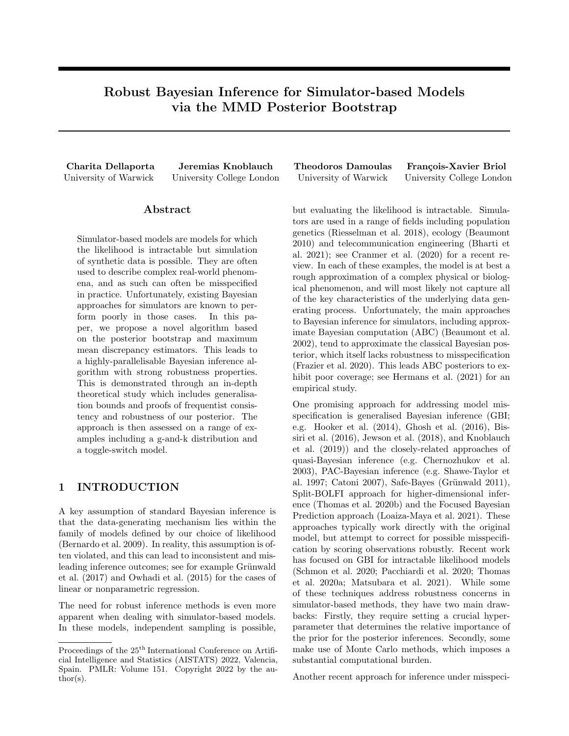$(Park et al. 2016)$  and GBI (Chérief-Abdellatif et al. 2020; Pacchiardi et al. 2021).

The Wasserstein distance and MMD are both popular in the context of simulators because they can both be computed or approximated for empirical measures. One can therefore use the simulator to sample *m* realisations from  $P_{\theta}$ , then use  $D(\widehat{P}_{\theta_b}, P_n)$  as an approximation of  $D(\mathsf{P}_{\theta}, \mathsf{P}_{n})$  in (4). In this context, the MMD has the advantage over the Wasserstein distance in that it is a robust distance (Briol et al. 2019; Chérief-Abdellatif et al. 2019), and can be computed in quadratic, rather than cubic, time in  $n$  and  $m$ .

### 3 METHODOLOGY

Our paper proposes Bayesian nonparametric learning with the MMD for robust and scalable inference in simulator models. Compared to ABC, our method has two main computational advantages: it does not discard any samples, and it is trivially parallelisable. Furthermore, we will show in Section 4 that the approach inherits the robustness properties of both the NPL framework and the MMD; and therefore satisfies a number of desirable properties—including finitesample generalisation bounds, robustness guarantees, and frequentist consistency. Notably, all of these guarantees hold under model misspecification, highlighting the approach's usefulness for simulator models of complex data generating mechanisms.

Assume we have observed data  $x_{1:n}$ <sup>iid</sup> P and are interested in inference with a parametric family  $P_{\Theta}$  of simulator-based models. Our approach is to use the NPL framework with the loss given by the kernel scoring rule  $l_k$  (Eaton 1982; Dawid 2007):

$$
l_k(x, \theta) = k(x, x) \quad 2 \int_X k(x, y) P_{\theta}(dy) + \int_X \chi k(y, z) P_{\theta}(dy) P_{\theta}(dz).
$$

For this loss, the minimiser in (2) becomes the MMD estimator of Briol et al. (2019) given by:

$$
\theta^*(P) := \arg \inf_{\theta \geq \Theta} \text{MMD}^2(P, P_{\theta})
$$
  
= 
$$
\arg \inf_{\theta \geq \Theta} \int_X \chi(k(x, y) P_{\theta}(dx) P_{\theta}(dy)
$$
  

$$
\frac{2}{n} \sum_{i=1}^n \int_X k(x_i, x) P_{\theta}(dx). \tag{5}
$$

This objective can easily be approximated by sampling from both measures and using a U-statistic. The same holds for its gradient, which naturally leads to a stochastic gradient descent algorithm. Full details are provided in Appendix C.

Pseudo code of our approach is given in Algorithm 1, and we call the resulting procedure MMD posterior bootstrap to pay homage to the fact that in the limiting case of  $\alpha$  ! 0, it is computationally similar to

| <b>Algorithm 1:</b> MMD Posterior Bootstrap                     |                                                                                                                       |  |  |
|-----------------------------------------------------------------|-----------------------------------------------------------------------------------------------------------------------|--|--|
| <b>input:</b> $x_{1:n}$ , T, B, $\alpha$ , F, U, $G_{\theta}$ . |                                                                                                                       |  |  |
| 1 for $j \in 1$ to $B$ do                                       |                                                                                                                       |  |  |
|                                                                 | 2 Sample $\tilde{x}_{1:T}^{(j)}$ id F and                                                                             |  |  |
|                                                                 | <b>3</b> $(w_{1:n}^{(j)}, \tilde{w}_{1:T}^{(j)})$ Dir $(1, \ldots, 1, \frac{\alpha}{T}, \ldots, \frac{\alpha}{T}).$   |  |  |
| $\overline{4}$                                                  | Set.                                                                                                                  |  |  |
|                                                                 | $\mathsf{P}^{(j)} = \sum_{i=1}^n w_i^{(j)} \delta_{x_i} + \sum_{k=1}^T \tilde{w}_k^{(j)} \delta_{\tilde{x}_i^{(j)}}.$ |  |  |
|                                                                 | 5   Obtain $\theta^{(j)} = \theta$ (P <sup>(j)</sup> ) using numerical                                                |  |  |
|                                                                 | optimisation.                                                                                                         |  |  |
| 6 end                                                           |                                                                                                                       |  |  |
| $\tau$ return Posterior bootstrap sample $\theta^{(1:B)}$       |                                                                                                                       |  |  |

the Generalised Bayesian Bootstrap of Lyddon et al. (2019). Incorporating prior information in the Posterior Bootstrap has also recently been discussed in Pompe (2021). From a practical standpoint, this limiting case is particularly interesting because it eliminates dependence on the centering measure F. This corresponds to a non-informative prior (see Fong et al. 2019; Knoblauch et al. 2020), and reflects our uncertainty about the model in a misspecified setting.

# 4 THEORY

Before presenting our experiments, we provide a theoretical study for which we impose:

**Standing Assumption 1.**  $ik(x, y)$  | 1  $\partial x, y \partial X$ .

While the kernel is required to be bounded, the choice of upper bound 1 is without loss of generality, since we only consider the minimiser of the MMD, which does not depend on the bound's magnitude. Note that the condition also ensures that F, P , and any element of  $P_{\Theta}$  are in  $P_k$ . While no other assumption on the kernel is needed for our theory, it is desirable for the kernel to be characteristic—as this guarantees that the MMD is a metric on  $P_k$  and hence that P can be recovered in well-specified models.

Since the conjugacy of the DP posterior in the NPL setting relies on the assumption that the data are i.i.d, we also inherit this requirement:

# Standing Assumption 2.  $x_{1:n}$  id  $\rho$  .

Our results provide the first generalisation, robustness, and consistency guarantees for NPL posteriors. Our first result is a generalisation bound in terms of the MMD expected under  $\hat{\nu}$  (Theorem 3). Beyond that, we also prove that consistency in the frequentist sense (Theorem 4), and robustness to outliers (Theorem 5). A particular characteristic is that all of these results hold for the misspecified setting where  $P \otimes P_{\Theta}$ . The well-specified counterparts are Corollaries 12, 13, and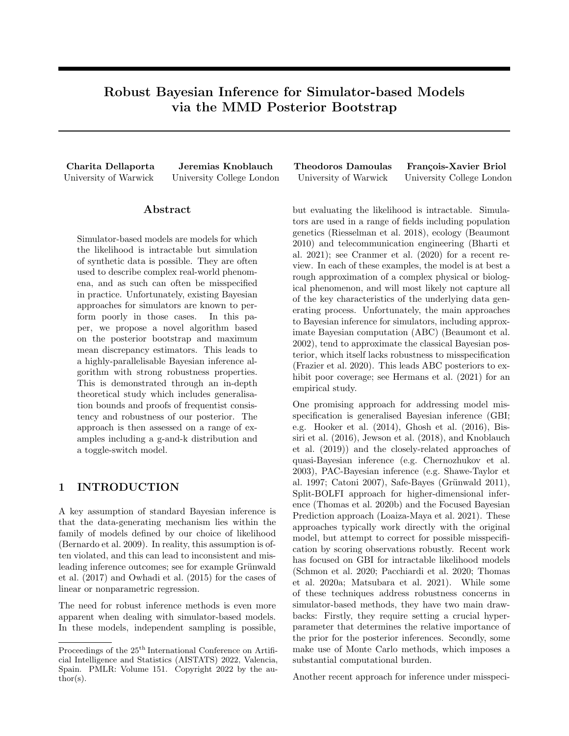15 in Appendix B, and are obtained by noting that in this case  $\inf_{\theta \geq \Theta} \text{MMD}(\mathsf{P}_{\theta}, \mathsf{P}) = 0.$ 

### 4.1 Generalisation Error

First, we bound the generalisation error of our procedure, i.e. the error we expect based on unseen data from the true data-generating mechanism. Here, the notion of error considered is the MMD to be expected under the (approximated) posterior, which is given by  $E_P \hat{\rho}$  [MMD(P,  $P_{\theta}$ (P))]. We therefore bound the expected value of this quantity under unseen data from the data-generating mechanism:

#### Theorem 3.

$$
\begin{aligned} \mathsf{E}_{x_{1:n}} &\text{ia}_{\mathsf{P}} \left[ \mathsf{E}_{\mathsf{P} \ \hat{\nu}} \left[ \text{MMD}(\mathsf{P} \ , \mathsf{P}_{\theta} \ _{(\mathsf{P})}) \right] \right] \\ &\text{inf}_{\theta \geq \Theta} \text{MMD}(\mathsf{P} \ , \mathsf{P}_{\theta}) + \mathcal{P}_{\overline{n}}^2 + \mathcal{P} \frac{4^{\frac{D}{\alpha(1+\alpha)}}}{(\alpha+n)(\alpha+n+1)}. \end{aligned}
$$

Since the expectation over  $E_{P}$   $\hat{\nu}$  [MMD(P,  $P_{\theta}$ <sub>(P)</sub>)] is trivially lower-bounded by  $\inf_{\theta \geq \Theta} \text{MMD}(\mathsf{P}, \mathsf{P}_{\theta})$ , this result tells us that, in expectation, the difference between these two quantities is at most  $2/\sqrt{m} +$  $4\sqrt{\alpha(1+\alpha)}/\sqrt{(\alpha+n)(\alpha+n+1)}$ . Both terms vanish as  $n \neq 1$ , with the overall rate being a  $\sqrt{\overline{n}}$  rate. This is the same rate as for the MMD estimators of Briol et al. (2019) (Theorem 1), as well as the MMDbased GBI of Chérief-Abdellatif et al. (2019) (Theorem 3.1).

### 4.2 Posterior Consistency

To deepen our analysis, we consider consistency in the frequentist sense. This guarantees that the posterior contracts around the optimal value  $\theta$  (P) as  $n$  ! 1. For standard Bayesian inference with posterior measure  $\Pi_n$  (whose density was previously denoted  $\pi(-i x_{1:n})$  defined on  $\Theta$  directly, and where our model is misspecified so that  $9C > 0$  such that  $\inf_{\theta \geq 0} \text{MMD}(\mathcal{P}_{\theta}, \mathcal{P}) = C$ , this would amount to

$$
\Pi_n \left( \theta \, 2\,\Theta : \text{MMD}(\mathsf{P}_{\theta}, \mathsf{P}) \right) > C + \frac{M_n}{n^{1/2}} \right)^{\,n/2} \, 0 \tag{6}
$$

for a sequence  $M_n$  !  $+1$  so that  $M_n n^{-\frac{1}{2}}$  ! 0 as n! 1. In other words, the posterior measure over regions of  $\Theta$  that induces large values for  $MMD(P_{\theta}, P)$  goes to  $C$  as we obtain more data so that it must ultimately concentrate around increasingly small neighbourhoods of optimal MMD-minimising values for  $\theta$ .

In our case, the posterior  $\Pi_{\text{NPL}}$  is defined implicitly: given the function  $\theta$  (P) and the approximate posterior  $\hat{\nu}$  on P constructed via equation (3), our posterior on  $\theta$ is obtained by the push-forward operation. Thus, the equivalent statement for our case concerns  $\hat{\nu}$ :

Theorem 4. Suppose our model is misspeci ed so that for some  $C > 0$  we have  $\inf_{\theta \geq \Theta} \text{MMD}(\mathcal{P}_{\theta}, \mathcal{P}) = C$ . Then, we have that for any  $M_n$  ! +1:

$$
\hat{\nu} \left( \mathsf{P} \ 2 \ \mathsf{P} : \text{MMD}(\mathsf{P}_{\theta}(P), \mathsf{P}) \right) > C + \frac{M_n}{n^{1/2}} \right)^{\frac{n}{l}} \left( \begin{matrix} 1 \\ 0 \end{matrix} \right)
$$

#### 4.3 Robustness to Outliers

To assess robustness against the presence of outliers in the dataset, we consider Huber's contamination model (Huber 1992). In this setting, a proportion  $1 \epsilon$  of the observed data is generated from the distribution of interest  $\tilde{P}$ , and the rest follows a contaminating noise distribution; i.e.  $P = (1 \epsilon)\tilde{P} + \epsilon Q$  for  $\tilde{P}, Q \geq P$  and  $\epsilon$  2 [0, 1]. Here, Q is the contaminant, and so the goal is to place most posterior mass on values of  $\theta$  for which  $P_{\theta}$   $\hat{P}$ , where closeness is measured via the MMD.

**Corollary 5.** Suppose  $P = (1 \epsilon)\tilde{P} + \epsilon Q$ . Then

$$
E_{x_{1:n} \text{ id}_p} \left[ E_{P \hat{\nu}} \left[ \text{MMD} \left( \tilde{P}, P_{\theta} \right. (P) \right) \right] \right]
$$
  

$$
\text{inf}_{\theta \geq \Theta} \text{MMD} \left( \tilde{P}, P_{\theta} \right) + 4\epsilon + \frac{2}{n} + \frac{4}{n} \frac{4}{(\alpha + n)(\alpha + n + 1)}.
$$

Similarly to the generalisation bound discussed above, the rate at which this bound goes to zero is  $\max \{ \hat{n} \mid \frac{1}{2}, \epsilon \}$ . Since there are at most *dene* contaminated data points in a dataset, the maximum number of outliers the dataset can have while maintaining the or outners the dataset  $\frac{\beta_{\text{all}}}{n}$ , which agrees with Chérief-Abdellatif et al. (2019), Corollary 3.4, who studied the frequentist minimum MMD estimator.

### 5 EXPERIMENTS

We now study the performance of our method using three examples. Throughout, we use the Gaussian kernel, which satisfies Standing Assumption 1. We also use a non-informative prior by setting  $\alpha = 0$ . Further experimental details and results are reported in Appendix C. Appendix D provides additional experiments which examine sensitivity to hyperparameters and provide comparison of our method with the MMD-Bayes method in Pacchiardi et al. (2021). We further consider an example of misspecification which is not based in a contamination model by wrongly fitting a Gaussian location model to Cauchy distributed data. The code for all experiments can be found at https: //github.com/haritadell/npl\_mmd\_project.git.

#### 5.1 Gaussian Location Model

We start by considering a toy example, the Gaussian location model. While the likelihood of this model is available, we treat it as a simulator to study the properties of our proposed method. We take  $P_{\theta} =$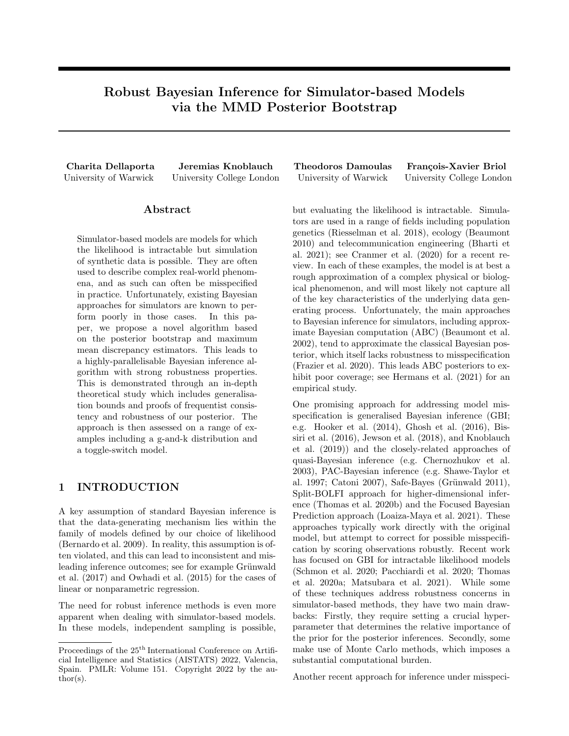

Figure 2: Posterior marginal distributions for the Gaussian location model in  $d = 4$ . The true parameter  $\theta_0$  is indicated by dotted lines. (Left & middle) Comparison against WABC and NPL-WLL methods for the wellspecified case and  $\epsilon = 0.1$ . (Right) Comparison against NPL with the Wasserstein distance for  $\epsilon = 0.1$ . We note that in the low middle panel, the NPL-WLL method is not visible as the samples lie significantly away from  $\theta_0$ .



Figure 3: Marginal densities of the posterior obtained by NPL-MMD and ABC with the MMD for the Gaussian location model in  $d = 4$  for  $\epsilon = 0.1$ . The true parameter  $\theta_0$  is indicated by dotted lines.

 $N(\theta, I_{d-d})$  and use a true data generating process  $P =$  $(1 \epsilon) P_{\theta_0} + \epsilon P_{\theta_0}$ , with  $\theta_0 = (1, \ldots, 1) \mathcal{Q} \mathbb{R}^d$  and  $\theta_0 =$  $(20, \ldots, 20)$   $2 \mathbb{R}^d$  in  $d = 4$ . We assess robustness by considering both the well-specified case  $\epsilon = 0$  and the case  $\epsilon = 0.1$  and  $n = 200$  realisations from P.

Our simulation study will illustrate how robustness is inherited from both the NPL framework, which is more robust to model misspecification than standard Bayes or ABC, and the MMD being more robust than alternative losses such as the Wasserstein distance or negative log-likelihood.

Wasserstein ABC We first compare our method against the Wasserstein ABC (WABC) (Bernton et al. 2019) algorithm, which uses Sequential Monte Carlo (SMC). We compare against WABC since it is a popular algorithm which, unlike standard ABC, does not require hand-crafting of summary statistics. As observed in Figure 2, NPL-MMD outperforms WABC in both the well-specified and misspecified settings. The former is explained by the fact that the Wasserstein distance exhibits poor sample complexity for  $d > 1$ (Fournier et  $\beta$ <sup>1</sup> 2015), whereas the MMD can be estimated at a  $\sqrt{\overline{n}}$  rate. The latter is explained by the fact that the WABC is an approximation of the exact Bayesian posterior, which is not robust.

NPL with Wasserstein distance Secondly, we consider the NPL framework using the Wasserstein distance (NPL-WAS) such that for  $W: \mathbb{P}^2$  / R 0 the 2-Wasserstein distance,  $\theta_W(\mathsf{P}) := \arg \inf_{\theta \geq \Theta} W(\mathsf{P}, \mathsf{P}_{\theta}).$ We use the POT package (Flamary et al. 2021) for approximating the Wasserstein distance and the Powell optimiser from Scipy (Virtanen et al. 2020). We focus specifically on the misspecified setting, and notice that NPL-MMD outperforms the NPL-WAS in that case. This clearly demonstrates the advantage of using a robust loss function, even when using a robust inference framework such as NPL.

NPL with log-likelihood Thirdly, the availability of the likelihood in this toy problem allows for com-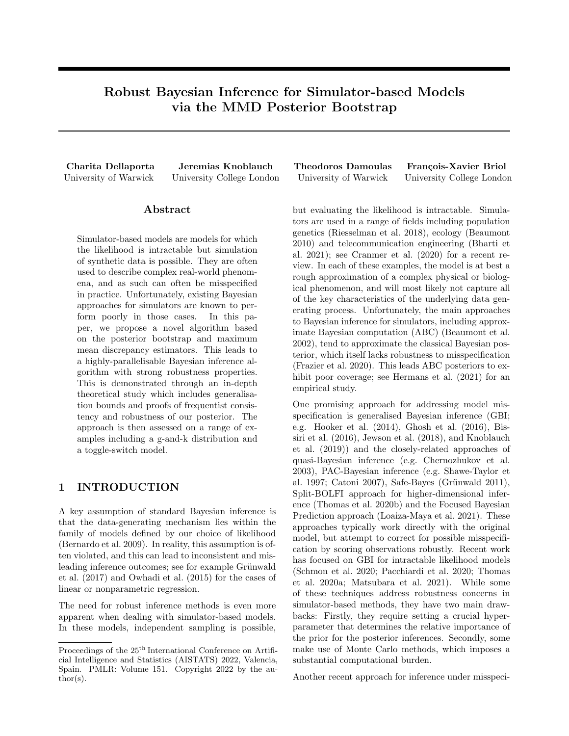

Figure 4: Posterior marginal distributions for  $\theta$  in the univariate g-and-k model for an increasing percentage of outliers present in the dataset. The true parameter  $\theta_0$  is indicated by the dotted lines.

parison with the original NPL posterior bootstrap using  $l(x, \theta) = \frac{\theta^1}{2\pi} \exp\left(-\frac{1}{2}(x - \theta)^2 g\right)$  as in Lyddon et al. (2018), which we call the weighted log-likelihood NPL (NPL-WLL). Figure 2 shows that NPL-WLL and NPL-MMD perform similarly in the well-specified case, but NPL-MMD significantly outperforms NPL-WLL in the misspecified case. This is once again due to the fact that the MMD is a robust loss, whereas the negative log-likelihood is not.

ABC with the MMD Finally, we further explore ABC method with the SMC samplers considered in Bernton et al. (2019), this time using the MMD instead of the Wasserstein distance. The ABC with the MMD has also been previously explored in Park et al. (2016). The posterior marginals are visualised in Figure 3 for  $\epsilon = 0.1$ . This figure clearly demonstrates the advantage of the NPL framework over ABC.

### 5.2 Simulator-based Models

We now consider two more complex numerical examples, for which likelihood-based inference is impossible. We compare solely against the Wasserstein ABC for simplicity by directly using the experimental setup in Bernton et al. (2019).

**G-and-k Distribution Model** First, consider  $G_{\theta}$ :  $[0, 1]^2$  ! R with  $\theta = (a, b, q, k)$  where

$$
G_{\theta}(u) = a + b \left( 1 + 0.8 \frac{1 - \exp(-gz(u))}{1 + \exp(-gz(u))} \right) (1 + z(u)^2)^k z(u),
$$

 $z(u) = \sqrt{2 \log(u_1)} \cos(2\pi u_2)$  and  $\cup = \text{Unif}([0, 1]^2)$ . Parameters  $a, b, g$  and  $k$  control the location, scale, skewness and kurtosis respectively. For computational convenience, we reparametrise the last parameter by setting  $k^{\theta} = \exp(k)$ . Although  $\theta_{\theta}$  is one-dimensional,

it is a popular baseline for simulator-based models (Prangle 2020) because of the challenge of inferring the four parameters simultaneously. It has also been used extensively in applications; for example to model the price of AirBnB rentals (Rodrigues et al. 2020), the air pollution (Rayner et al. 2002) or for non-life insurance modelling (Peters et al. 2016).

Our data consists of  $n = 2^{11}$  realisations from P = (1 –  $\epsilon) \, \mathsf{P}_{\theta_0} + \epsilon \, \mathsf{Q} \,$  where  $\mathsf{P}_{\theta_0}$  denotes the g-and-k with  $\theta_0 = (3, 1, 1, \log(2))$ , and Q is the shifted distribution  $Q = P_{\theta_0}$  50 with an equal number of points shifted to either direction. The resulting posteriors are shown in Figure 4 displayed as bivariate plots. The WABC method appears more sensitive to contamination in the dataset—in contrast to the NPL-MMD, which concentrates significantly closer to the true parameter values for an increasing proportion of outliers. This is particularly the case for the last two parameters g and  $log(k)$  which are well-known to be more challenging to estimate.

Toggle Switch Model Finally, we consider the toggle-switch model arising in Systems Biology (Bonassi et al. 2011; Bonassi et al. 2015). This is a dynamic model used to study cellular networks; more precisely, the network describes the interaction of two genes  $u$  and  $v$  over time. The simulator is too complex to include in the main text, but is given in Appendix C. The data is one-dimensional, but the model has 7 parameters and the latent space is 601-dimensional.

We consider inference on  $\theta$  for  $n = 2000$  data points simulated from the toggle-switch model with true parameter  $\theta_0 = (22, 12, 4, 4.5, 325, 0.25, 0.15)$  in which 10% of the data have some added Cauchy noise of location parameter 0 and scale parameter 10. Such noise can be interpreted as measurement error in the collec-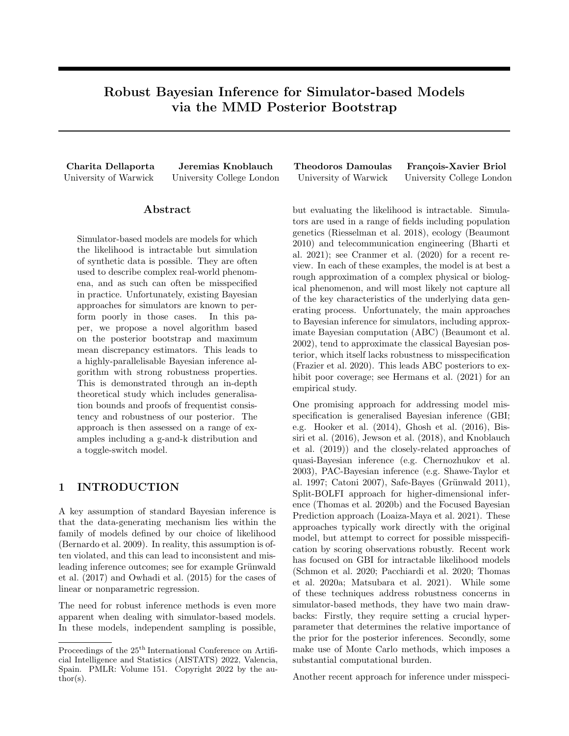

Figure 5: Posterior marginal distributions for  $\theta$  in the toggle switch model with 10% of noisy data in the dataset. Bottom right figure presents 2000 samples from the well-specified toggle switch model.

tion of data. The posterior marginal distributions for  $\theta$  are shown in Figure 5, and indicate that the NPL-MMD method is successful in concentrating around  $\theta_0$ despite the Cauchy noise.

### 5.3 Computational Time

We provide the computational time recorded for each experiment over multiple independent runs. The Gaussian location and G-and-k experiments were repeated 10 times and the Toggle-switch was repeated 5 times due to the higher computational cost. For each run, a new dataset was generated and B posterior samples were obtained for  $\theta$ . The average time for the generation of B samples is recorded for each method. Our method is compatible with the use of GPU so in Table 1 we provide the average time recorded when run in Google Colaboratory Pro.

Table 1: Average Clock Time In Seconds.

|                                                         | Method $\parallel$ Gaussian $\parallel$ G-and-k $\parallel$ Toggle-S       |  |  |  |  |  |
|---------------------------------------------------------|----------------------------------------------------------------------------|--|--|--|--|--|
| NPL-MMD $\parallel$ 1.09 $10^2$   3.02 10   7.42 $10^3$ |                                                                            |  |  |  |  |  |
| <b>WABC</b>                                             | $\parallel$ 3.34 10 <sup>3</sup> 1.05 10 <sup>2</sup> 3.08 10 <sup>4</sup> |  |  |  |  |  |

# 6 CONCLUSION

Our paper proposes the very first posterior bootstrap method in the simulator setting. Unlike ABC, our method does not discard any samples and can run in parallel—leading to a substantially decreased computational burden. Further, the approach is based on MMD estimators, and therefore inherits both the robustness of the NPL framework and that of the MMD. We support this claim with three theoretical results that hold even in the presence of misspecification. The results include a generalisation bound, a robustness guarantee, and a consistency result. We verified the practical utility of our theory through deploying it on three models, which highlighted both robustness and computational advantages of our method.

A particular strength of the method is that no assumption is required on  $X$ . Hence, the results apply directly to any set  $X$  on which one can define kernels (e.g. graphs, strings, or discrete spaces).

In future work, we would like to tackle the challenges posed by the optimisation step. Specifically, since the MMD-objective is usually non-convex, a particularly interesting question would be if the kernel can be used to enforce a more well-behaved objective. Another direction for improvement is the cost of computing the MMD minimiser. While naively, this scales quadratically in the number of observations, it could be reduced to linear time using approaches like in Lemma 14 of Gretton et al. (2012).

### Acknowledgements

CD was funded by EPSRC grant [EP/T51794X/1] as part of the Warwick CDT in Mathematics and Statistics. JK was funded through the Biometrika Fellowship courtesy of the Biometrika Trust. TD acknowledges support from a UKRI Turing AI Fellowship [EP/V02678X/1]. TD and FXB were supported by the Lloyd's Register Foundation Programme on Data-Centric Engineering and The Alan Turing Institute under the EPSRC grant [EP/N510129/1]. The authors thank all reviewers for their useful comments.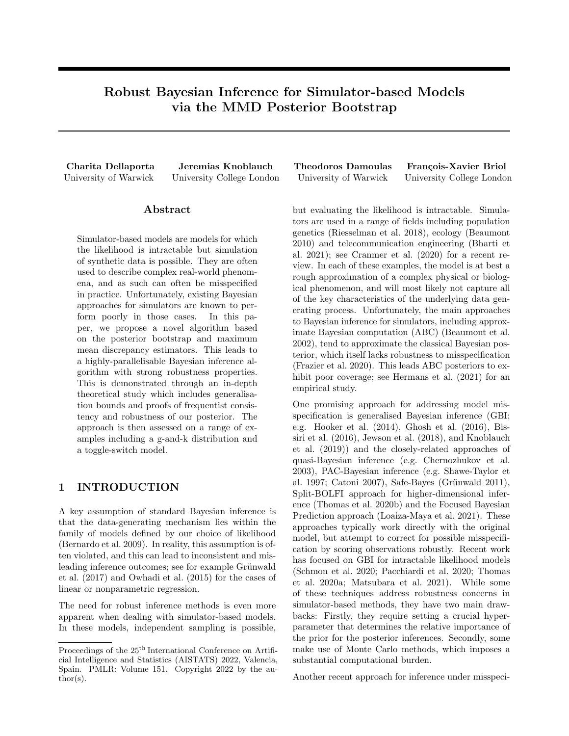### References

- Alquier, P. and Gerber, M. (2020). "Universal robust regression via maximum mean discrepancy". In: Arxiv:2006.00840 1.
- Andrieu, C. and Roberts, G. O. (2009). "The pseudomarginal approach for efficient Monte Carlo computations". In: Annals of statistics 37.2, pp. 697– 725.
- Bassetti, F., Bodini, A., and Regazzini, E. (2006). "On minimum Kantorovich distance estimators". In: Statistics and probability letters 76, pp. 1298– 1302.
- Beaumont, M. A., Cornuet, J.-M., Marin, J.-M., and Robert, C. P. (2009). "Adaptive approximate Bayesian computation". In: Biometrika 96.4, pp. 983–990. issn: 14643510.
- Beaumont, M. A. (2010). "Approximate Bayesian computation in evolution and ecology". In: Annual review of ecology, evolution, and systematics 41, pp. 379–406.
- Beaumont, M. A. (2019). "Approximate Bayesian computation". In: Annual review of statistics and its application 6, pp. 379–403.
- Beaumont, M. A., Zhang, W., and Balding, D. J. (2002). "Approximate Bayesian computation in population genetics". In: Genetics 162.4, pp. 2025– 2035.
- Berlinet, A. and Thomas-Agnan, C. (2011). Reproducing kernel hilbert spaces in probability and statistics. Springer Science & Business Media.
- Bernardo, J. M. and Smith, A. F. (2009). Bayesian theory. Vol. 405. John Wiley & Sons.
- Bernton, E., Jacob, P. E., Gerber, M., and Robert, C. P. (2017). "Inference in generative models using the Wasserstein distance". In: Information and inference: a journal of the ima 8.4, pp. 657–676.
- Bernton, E., Jacob, P. E., Gerber, M., and Robert, C. P. (2019). "Approximate Bayesian computation with the Wasserstein distance". In: Journal of the royal statistical society: series b (statistical methodology) 81.2, pp. 235–269.
- Bharti, A., Briol, F.-X., and Pedersen, T. (2021). "A general method for calibrating stochastic radio channel models with kernels". In: Ieee transactions on antennas and propagation.
- Bissiri, P. G., Holmes, C. C., and Walker, S. G. (2016). "A general framework for updating belief distributions". In: Journal of the royal statistical society. series b, statistical methodology 78.5, p. 1103.
- Bonassi, F. V. and West, M. (2015). "Sequential Monte Carlo with adaptive weights for approximate Bayesian computation". In: Bayesian analysis 10.1, pp. 171–187.
- Bonassi, F. V., You, L., and West, M. (2011). "Bayesian learning from marginal data in bionet-

work models". In: Statistical applications in genetics and molecular biology 10.1.

- Bradbury, J., Frostig, R., Hawkins, P., Johnson, M. J., Leary, C., Maclaurin, D., and Wanderman-Milne, S. (2020). "Jax: composable transformations of python+ numpy programs, 2018". In: Url http://github. com/google/jax 4, p. 16.
- Briol, F.-X., Barp, A., Duncan, A. B., and Girolami, M. (2019). "Statistical inference for generative models with maximum mean discrepancy". In: Arxiv:1906.05944.
- Catoni, O. (2007). "Pac-Bayesian supervised classification: the thermodynamics of statistical learning". In: Institute of mathematical statistics lecture notes | monograph series 56.
- Chérief-Abdellatif, B.-E. and Alquier, P. (2019). "Finite sample properties of parametric mmd estimation: robustness to misspecification and dependence". In: Arxiv preprint arxiv:1912.05737.
- Chérief-Abdellatif, B.-E. and Alquier, P. (2020). "MMD-Bayes: robust Bayesian estimation via maximum mean discrepancy". In: Symposium on advances in approximate bayesian inference. PMLR, pp. 1–21.
- Chernozhukov, V. and Hong, H. (2003). "An MCMC approach to classical estimation". In: Journal of econometrics 115.2, pp. 293–346.
- Cranmer, K., Brehmer, J., and Louppe, G. (2020). "The frontier of simulation-based inference". In: Proceedings of the national academy of sciences of the united states of america 117.48.
- Dawid, A. P. (2007). "The geometry of proper scoring rules". In: Annals of the institute of statistical mathematics 59.1, pp. 77–93.
- Del Moral, P., Doucet, A., and Jasra, A. (2012). "On adaptive resampling strategies for sequential Monte Carlo methods". In: Bernoulli 18.1, pp. 252–278.
- Dziugaite, G. K., Roy, D. M., and Ghahramani, Z. (2015). "Training generative neural networks via maximum mean discrepancy optimization". In: Proceedings of the thirty- rst conference on uncertainty in arti cial intelligence, pp. 258–267.
- Eaton, M. L. (1982). "A method for evaluating improper prior distributions". In: Statistical decision theory and related topics iii, pp. 329–352.
- Flamary, R. et al. (2021). "Pot: python optimal transport". In: Journal of machine learning research 22.78, pp. 1–8.
- Fong, E., Lyddon, S., and Holmes, C. (2019). "Scalable nonparametric sampling from multimodal posteriors with the posterior bootstrap". In: International conference on machine learning. PMLR, pp. 1952– 1962.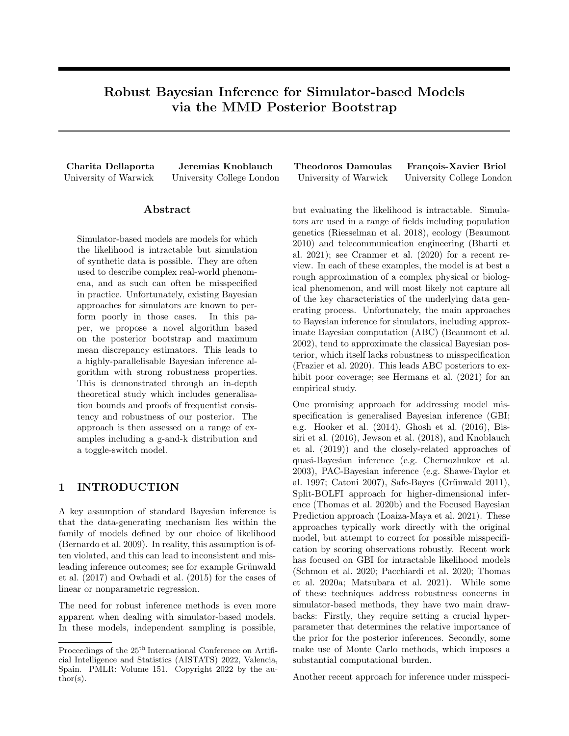- Fournier, N. and Guillin, A. (2015). "On the rate of convergence in wasserstein distance of the empirical measure". In: Probability theory and related elds 162.3-4, pp. 707-738. ISSN: 1432-2064. DOI: 10.1007/s00440-014-0583-7.
- Frazier, D. T., Robert, C. P., and Rousseau, J. (2020). "Model misspecification in ABC: consequences and diagnostics". In: Journal of the royal statistical society b: statistical methodology 82.2, pp. 421–444.
- Galvani, M., Bardelli, C., Figini, S., and Muliere, P. (2021). "A Bayesian nonparametric learning approach to ensemble models using the proper Bayesian bootstrap". In: Algorithms 14.1, p. 11.
- Ghosh, A. and Basu, A. (2016). "Robust bayes estimation using the density power divergence". In: Annals of the institute of statistical mathematics 68.2, pp. 413–437.
- Gretton, A., Borgwardt, K. M., Rasch, M. J., Schölkopf, B., and Smola, A. (2012). "A kernel twosample test". In: The journal of machine learning research 13.1, pp. 723–773.
- Grünwald, P. and Van Ommen, T. (2017). "Inconsistency of bayesian inference for misspecified linear models, and a proposal for repairing it". In: Bayesian analysis 12.4, pp. 1069–1103.
- Grünwald, P. (2011). "Safe learning: bridging the gap between Bayes, MDL and statistical learning theory via empirical convexity". In: Journal of machine learning research 19, pp. 397–419.
- Grünwald, P. (2012). "The safe Bayesian". In: International conference on algorithmic learning theory. Springer, pp. 169–183.
- Hermans, J., Delaunoy, A., Rozet, F., Wehenkel, A., and Louppe, G. (2021). "Averting a crisis in simulation-based inference". In: Arxiv:2110.06581.
- Hooker, G. and Vidyashankar, A. N. (2014). "Bayesian model robustness via disparities". In: Test 23.3, pp. 556–584.
- Huber, P. J. (1992). "Robust estimation of a location parameter". In: Breakthroughs in statistics. Springer, pp. 492–518.
- Huggins, J. H. and Miller, J. W. (2019). "Robust inference and model criticism using bagged posteriors". In: Arxiv preprint arxiv:1912.07104.
- Ishwaran, H. and Zarepour, M. (2002). "Exact and approximate sum representations for the dirichlet process". In: Canadian journal of statistics 30.2, pp. 269–283.
- Jewson, J., Smith, J. Q., and Holmes, C. (2018). "Principled Bayesian minimum divergence inference". In: Entropy 20.6, p. 442.
- Key, O., Fernandez, T., Gretton, A., and Briol, F.-X. (2021). "Composite goodness-of-fit tests with kernels". In: Arxiv:2111.10275.
- Kingma, D. P. and Ba, J. (2014). "Adam: a method for stochastic optimization". In: Arxiv preprint arxiv:1412.6980.
- Knoblauch, J., Jewson, J., and Damoulas, T. (2019). "Generalized variational inference: three arguments for deriving new posteriors". In: Arxiv:1904.02063.
- Knoblauch, J. and Vomfell, L. (2020). "Robust Bayesian inference for discrete outcomes with the total variation distance". In: Arxiv:2010.13456.
- Li, Y., Swersky, K., and Zemel, R. (2015). "Generative moment matching networks". In: International conference on machine learning. PMLR, pp. 1718– 1727.
- Loaiza-Maya, R., Martin, G. M., Frazier, D. T., et al. (2021). "Focused Bayesian prediction". In: Journal of applied econometrics 36.5, pp. 517–543.
- Lyddon, S., Walker, S., and Holmes, C. (2018). "Nonparametric learning from Bayesian models with randomized objective functions". In: Proceedings of the 32nd international conference on neural information processing systems, pp. 2075–2085.
- Lyddon, S., Holmes, C., and Walker, S. (2019). "General Bayesian updating and the loss-likelihood bootstrap". In: Biometrika 106.2, pp. 465–478.
- Matsubara, T., Knoblauch, J., Briol, F.-X., and Oates, C. J. (2021). "Robust generalised Bayesian inference for intractable likelihoods". In: Arxiv:2104.07359.
- Muliere, P. and Secchi, P. (1996). "Bayesian nonparametric predictive inference and bootstrap techniques". In: Annals of the institute of statistical mathematics 48.4, pp. 663–673.
- Müller, A. (1997). "Integral probability metrics and their generating classes of functions". In: Advances in applied probability 29.2, pp. 429–443.
- Niu, Z., Meier, J., and Briol, F.-X. (2021). "Discrepancy-based inference for intractable generative models using quasi-Monte Carlo". In: Arxiv:2106.11561.
- Owhadi, H., Scovel, C., and Sullivan, T. (2015). "Brittleness of Bayesian inference under finite information in a continuous world". In: Electronic journal of statistics 9.1, pp. 1–79.
- Pacchiardi, L. and Dutta, R. (2020). "Score matched conditional exponential families for likelihood-free inference". In: Arxiv:2012.10903.
- Pacchiardi, L. and Dutta, R. (2021). "Generalized Bayesian likelihood-free inference using scoring rules estimators". In: Arxiv:2104.03889.
- Papamakarios, G. and Murray, I. (2016). "Fast  $\varepsilon$ -free inference of simulation models with Bayesian conditional density estimation". In: Advances in neural information processing systems, pp. 1028–1036.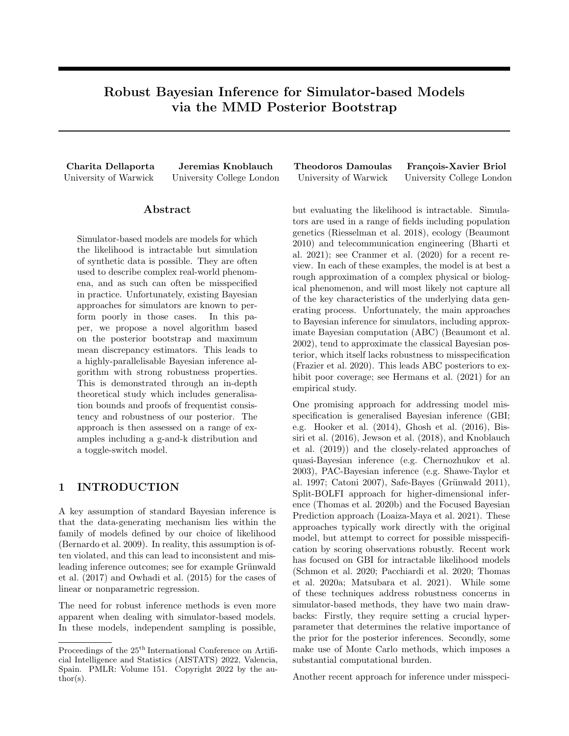- Papamakarios, G., Sterratt, D., and Murray, I. (2019). "Sequential neural likelihood: fast likelihood-free inference with autoregressive flows". In: vol. 89. International Conference on Artificial Intelligence and Statistics, pp. 837–848.
- Park, M., Jitkrittum, W., and Sejdinovic, D. (2016). "K2-ABC: approximate Bayesian computation with kernel embeddings". In: Arti cial intelligence and statistics. PMLR, pp. 398–407.
- Parr, W. C. and Schucany, W. R. (1980). "Minimum distance and robust estimation". In: Journal of the american statistical association 75.371, pp. 616– 624.
- Peters, G., Chen, W., and Gerlach, R. (2016). "Estimating quantile families of loss distributions for non-life insurance modelling via L-moments". In: Risks 4.2, p. 14.
- Pompe, E. (2021). "Introducing prior information in weighted likelihood bootstrap with applications to model misspecification". In: Arxiv preprint arxiv:2103.14445.
- Prangle, D. (2020). "Gk: an r package for the g-and-k and generalised g-and-h distributions". In: The r journal 12.1, pp. 7–20.
- Price, L. F., Drovandi, C. C., Lee, A., and Nott, D. J. (2017). "Bayesian synthetic likelihood". In: Journal of computational and graphical statistics 8600.
- Rayner, G. D. and MacGillivray, H. L. (2002). "Numerical maximum likelihood estimation for the gand-k and generalized g-and-h distributions". In: Statistics and computing 12.1, pp. 57–75.
- Riesselman, A. J., Ingraham, J. B., and Marks, D. S. (2018). "Deep generative models of genetic variation capture the effects of mutations". In: Nature methods 15.10, pp. 816–822.
- Rodrigues, G. S., Nott, D. J., and Sisson, S. A. (2020). "Likelihood-free approximate Gibbs sampling". In: Statistics and computing 30.4, pp. 1057–1073.
- Schmon, S. M., Cannon, P. W., and Knoblauch, J. (2020). "Generalized Posteriors in approximate Bayesian computation". In: Third symposium on advances in approximate bayesian inference.
- Sethuraman, J. (1994). "A constructive definition of dirichlet priors". In: Statistica sinica, pp. 639–650.
- Shawe-Taylor, J. and Williamson, R. C. (1997). "A PAC analysis of a Bayesian estimator". In: Proceedings of the tenth annual conference on computational learning theory. Vol. 6. 09, pp. 2–9.
- Sisson, S. and Fan, Y. (2018). "Abc samplers". In: Handbook of approximate bayesian computation, pp. 87–123.
- Sriperumbudur, B. K., Gretton, A., Fukumizu, K., Schölkopf, B., and Lanckriet, G. R. (2010). "Hilbert space embeddings and metrics on proba-

bility measures". In: The journal of machine learning research 11, pp. 1517–1561.

- Sutherland, D. J., Tung, H.-Y., Strathmann, H., De, S., Ramdas, A., Smola, A. J., and Gretton, A. (2017). "Generative models and model criticism via optimized maximum mean discrepancy". In: International conference on learning representations.
- Thomas, O., Pesonen, H., and Corander, J. (2020a). "Generalised bayes updates with f-divergences through probabilistic classifiers". In: Arxiv preprint arxiv:2007.04358.
- Thomas, O., Pesonen, H., Sá-Leão, R., Lencastre, H. de, Kaski, S., and Corander, J. (2020b). "Splitbolfi for for misspecification-robust likelihood free inference in high dimensions". In: Arxiv preprint arxiv:2002.09377.
- Virtanen, P. et al. (2020). "Scipy 1.0: fundamental algorithms for scientific computing in python". In: Nature methods 17.3, pp. 261–272.
- Wu, P.-S. and Martin, R. (2020). "A comparison of learning rate selection methods in generalized Bayesian inference". In: Arxiv:2012.11349.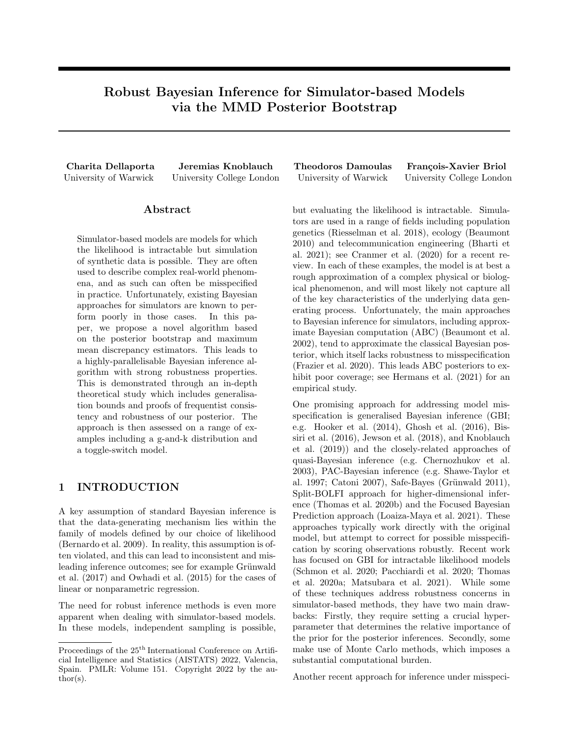# Supplementary Material: Robust Bayesian Inference for Simulator-based Models via the MMD Posterior Bootstrap

In Appendix A we summarise the notation used throughout the paper. In Appendix B we prove all theoretical results. In Appendix C we provide details on the experiments introduced in the main text and in Appendix D we provide some additional experiments.

# A NOTATION

In the following section, we recall the notation used in the paper:

- P True data generating distribution
- $x_{1:n}$  Observations  $x_{1:n}$ <sup>iid</sup> P
- $P_n$  Empirical measure  $P_n = \frac{1}{n} \sum_{i=1}^n \delta_{x_i}$
- F Centering measure of the Dirichlet Process prior  $DP(\alpha, \mathbb{F})$
- $F^{\theta}$  Centering measure of the Dirichlet Process posterior  $DP(\alpha^{\theta}, F^{\theta})$  defined as  $F^{\theta} = \frac{\alpha}{\alpha + n} F + \frac{n}{\alpha + n} P_n$
- $\hat{\nu}$  Probability measure on P defined by the sampling procedure of samples from the Dirichlet approximation of the DP posterior  $DP(\alpha^{\ell}, F^{\ell})$  in (3)
- $\nu$  Probability measure on P defined by the stick-break process representing samples from the exact DP posterior  $P / x_{1:n}$  $^{\ell}$ ,  $\mathsf{F}^{\ell}$ )
- $X$  Data space
- P Space of Borel distributions on X
- $P_{\theta}$  Probability measure  $P_{\theta}$  2 P indexed by parameter  $\theta$
- $P_{\Theta}$  Family of parametric models  $P_{\Theta} = f P_{\theta} : \theta \ge \Theta g$  P
- $\theta_l$  Map  $\theta_l$ : P !  $\Theta$  indexed by loss l which takes as input a probability measure P and returns the value of  $\theta \geq \Theta$  which minimises the expected loss; i.e.  $\theta$ <sub>l</sub> (P) = argin $f_{\theta \geq \Theta} \to_K P[l(X, \theta)]$
- $\theta^*$  Map  $\theta^*: P \perp \Theta$  for the MMD-based loss which takes as input a probability measure P and returns the value of  $\theta$  2  $\Theta$  which minimises the MMD between  $P_{\theta}$  and P; i.e.  $\theta^*(P) = \arg\inf_{\theta \geq \Theta} MMD^2(P, P_{\theta})$

# B PROOFS

We now provide proofs for all theoretical results presented in the main text as well as some additional theory. We start with the necessary background material on the MMD that we use in our proofs. We continue by proving our generalisation error bound both in the case where the DP posterior sample is represented exactly by an infinite sum of the stick-breaking process (Theorem 9) and using the approximation of algorithm 1 (Theorem 3). We also provide the corresponding corollaries for the well-specified case (Corollaries 12 and 10) for reference. We then proceed by proving the general posterior consistency result of Theorem 4; along with the special case of a well-specified model (Corollary 13). Finally, we prove the results in the case of a contaminated data generating process in both the misspecified and well-specified case (Corollaries 5 and 15). Recall that throughout all our theoretical results we impose Standing Assumptions 1 and 2.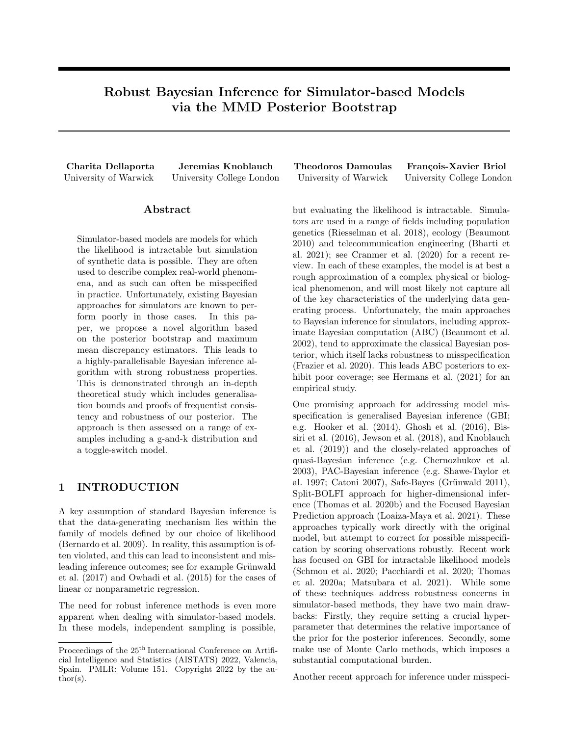#### B.1 MMD Through Kernel Mean Embeddings

In the following proofs we will use an equivalent definition of the MMD through kernel mean embeddings. Consider an RKHS  $H_k$  indexed by a reproducing kernel k. We say k is a reproducing kernel if (i)  $k(x, x) \ge H_k$ ,  $\& x \ge X$ , (ii)  $hf, k( , x) i_{H_k} = f(x)$   $\& x \geq X$  and  $\& f \geq H_k$  (reproducing property); and inner product  $h, i_{H_k}$ ; see Berlinet et al. (2011). For a function  $f \nightharpoonup H_k$  the mean embedding  $\mu_P \nightharpoonup H_k$  with respect to probability measure  $P \nightharpoonup P$  is defined as

$$
\mu_{\mathsf{P}}(\ ) := \mathsf{E}_{X} \ \mathsf{P}[k(X, \ )] \ 2 \mathsf{H}_k
$$

and satisfies

$$
\mathsf{E}_X\;\; \mathsf{P}[f(X)] = \mathit{hf}, \mathit{\mu}_\mathsf{P} \mathit{i}_{H_k}\,.
$$

The MMD between probability measures  $P$  and  $Q$  takes the form (see Gretton et al. 2012, Lemma 4)

$$
\text{MMD}(\mathsf{P}, \mathsf{Q}) = k\mu_{\mathsf{P}} \quad \mu_{\mathsf{Q}} k_{H_k}.
$$

### B.2 Generalisation Error for the Stick-Breaking Process

We start with a bound of the generalisation error for the case where the DP sample is represented exactly—i.e., by the infinite sum obtained from the stick-breaking process. We denote by  $\nu$  the probability measure on  $\mathcal P$ corresponding to the stick-breaking process given as

$$
w_{1:7} \qquad \text{GEM}(\alpha^0), \quad \alpha^0 := \alpha + n,\tag{7}
$$

$$
z_{1:7} \stackrel{\text{iid}}{\rightarrow} \mathsf{F}^{\theta} := \frac{\alpha}{\alpha + n} \mathsf{F} + \frac{n}{n + \alpha} \mathsf{P}_n,\tag{8}
$$

$$
\mathsf{P} = \sum_{i=1}^{7} w_i \delta_{z_i} \quad \nu \,.
$$

Note that instead of writing the expectation directly over  $\nu$ , we instead often use the separate expectations  $\mathsf{E}_{w_{1:7}}$  GEM( $\alpha^0$ ) and  $\mathsf{E}_{z_{1:7}}$   $\beta^0$  induced by  $\nu$  in the proofs below.

Before stating and proving the main result of this section, we provide three lemmas that bound the expected MMD between the true data generating mechanism  $P$  and  $P_n$ , the centering measure of the DP posterior  $F^{\ell}$ and P and lastly  $F^{\theta}$  and  $P_n$ . The reason for this is that the main proof will use a decomposition of the MMD using the triangle inequality; and the following technical Lemmas bound three of the trickier terms arising from said triangle inequality.

Lemma 6. For  $x_{1:n} \overset{\mathrm{iid}}{\mathsf{P}}\,$  we have

$$
\mathsf{E}_{x_{1:n} \text{ iid}_\mathsf{P}} \ [\text{MMD}(\mathsf{P}_n, \mathsf{P}_\mathsf{I})] \quad \not\stackrel{\mathsf{d}}{\mathsf{P}_{\overline{n}}}
$$

where  $P_n$  denotes the empirical measure of the sample data, i.e.  $P_n = \frac{1}{n} \sum_{i=1}^n \delta_{x_i}$ .

Proof. Proof follows directly from the proof of Chérief-Abdellatif et al. (2019), Lemma 7.1 and using the Jensen's inequality to obtain

$$
\mathsf{E}_{x_{1:n} \text{ iid } p} \left[ \text{MMD}(\mathsf{P}_n, \mathsf{P}) \right] \quad \sqrt{\mathsf{E}_{x_{1:n} \text{ iid } p} \left[ \text{MMD}^2(\mathsf{P}_n, \mathsf{P}) \right]} \quad \not\stackrel{\perp}{\not\rightarrow} \frac{\mathsf{P}_n}{\pi}.
$$

**Lemma 7.** Let  $P = \sum_{i=1}^{7} w_i \delta_{z_i}$  v denote a sample from the DP posterior, where  $z_{1:7}$   $^{iid}F^{\emptyset}$  and  $w_{1:7}$  $\operatorname{GEM}(\alpha^\emptyset)$ , then

$$
\mathsf{E}_{w_{1:7}} \quad \text{gem}(\alpha^0) \left[ \mathsf{E}_{z_{1:7}} \quad \mathsf{F}^{\mathsf{0}} \left[ \text{MMD}(\mathsf{P}, \mathsf{F}^{\mathsf{0}}) \right] \right] \quad \mathsf{P}^{\mathsf{1}}_{\overline{\alpha + n + 2}}.
$$

Proof. First note that

$$
\begin{split} \text{MMD}^{2}(\mathsf{P},\mathsf{F}^{\theta}) &= k\mu_{\mathsf{P}} \quad \mu_{\mathsf{F}^{\theta}} k_{H_{k}}^{2} \\ &= k\sum_{i=1}^{7} w_{i}k(z_{i}, \, ) \quad \mu_{\mathsf{F}^{\theta}}k_{H_{k}}^{2} \\ &= k\sum_{i=1}^{7} w_{i} \left[ k(z_{i}, \, ) \quad \mu_{\mathsf{F}^{\theta}} \right] k_{H_{k}}^{2} \\ &= \sum_{i=1}^{7} w_{i}^{2} k k(z_{i}, \, ) \quad \mu_{\mathsf{F}^{\theta}} k_{H_{k}}^{2} + 2\sum_{i \in \mathcal{I}} w_{i} w_{j} \, \hbar k(z_{i}, \, ) \quad \mu_{\mathsf{F}^{\theta}} k(z_{j}, \, ) \quad \mu_{\mathsf{F}^{\theta}} i \end{split}
$$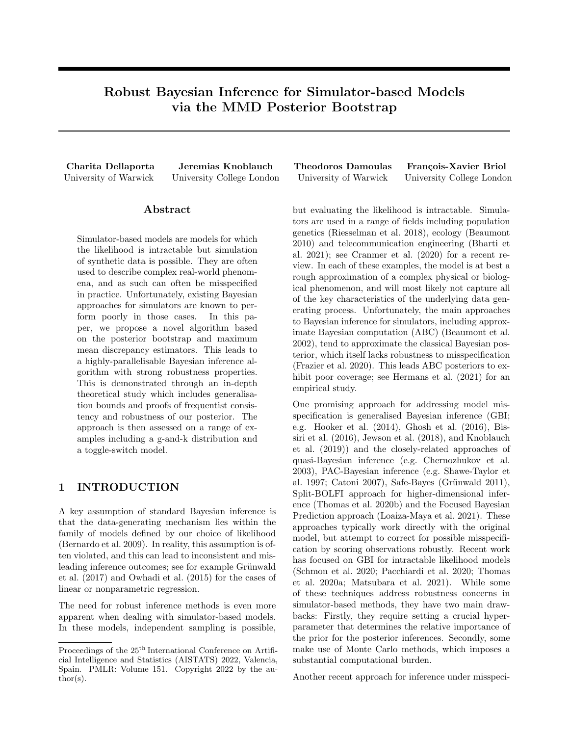Note that since  $z_{1:7}$  <sup>iid</sup>  $\vdash^{\emptyset}$  we have that for any  $i \notin j$ :

$$
E_{z_i, z_j \text{ iid }_{\Gamma^0}}[hk(z_i, ) \mu_{\Gamma^0}, k(z_j, ) \mu_{\Gamma^0}]
$$
\n
$$
= E_{z_i, z_j \text{ iid }_{\Gamma^0}}[\langle k(z_i, ) E_{z_i} \rho[k(z_i, )], k(z_j, ) E_{z_j} \rho[k(z_j, )]]]
$$
\n
$$
= E_{z_i, z_j \text{ iid }_{\Gamma^0}}[k(z_i, z_j)] E_{z_i} \rho[k(z_i, )] E_{z_j} \rho[k(z_j, )]
$$
\n
$$
= E_{z_j} \rho[k(z_j, )] E_{z_i} \rho[k(z_i, )] + E_{z_j} \rho[k(z_j, )] E_{z_i} \rho[k(z_i, )]
$$
\n
$$
= E_{z_i, z_j \text{ iid }_{\Gamma^0}}[k(z_i, z_j)] E_{z_i, z_j \text{ lid }_{\Gamma^0}}[k(z_i, z_j)] E_{z_i, z_j \text{ lid }_{\Gamma^0}}[k(z_i, z_j)] + E_{z_i, z_j \text{ lid }_{\Gamma^0}}[k(z_i, z_j)]
$$
\n
$$
= 0.
$$
\n(9)

Moreover, for any  $i = 1, 2, \ldots$ 

$$
E_{z_i} \ F^{\rho}\left[kk(z_i, ) \ \mu_{F^{\rho}}k_{H_k}^2\right] = E_{z_i} \ F^{\rho}\left[kk(z_i, ) \ E_{z_i} \ F^{\rho}\left[k(z_i, )|k_{H_k}^2\right] \right]
$$
  
\n
$$
= E_{z_i} \ F^{\rho}\left[kk(z_i, )k_{H_k}^2 \ 2 \ h k(z_i, ), E_{z_i} \ F^{\rho}\left[k(z_i, )|I + k E_{z_i} \ F^{\rho}\left[k(z_i, )|k_{H_k}^2\right] \right]
$$
  
\n
$$
= E_{z_i} \ F^{\rho}\left[kk(z_i, )k_{H_k}^2\right] \ 2 \ h E_{z_i} \ F^{\rho}\left[k(z_i, )|, E_{z_i} \ F^{\rho}\left[k(z_i, )|I + k E_{z_i} \ F^{\rho}\left[k(z_i, )|k_{H_k}^2\right] \right]
$$
  
\n
$$
= E_{z_i} \ F^{\rho}\left[kk(z_i, )k_{H_k}^2\right] \ 2k E_{z_i} \ F^{\rho}\left[k(z_i, )|k_{H_k}^2 + k E_{z_i} \ F^{\rho}\left[k(z_i, )|k_{H_k}^2\right] \right]
$$
  
\n
$$
= E_{z_i} \ F^{\rho}\left[kk(z_i, )k_{H_k}^2\right] \ k E_{z_i} \ F^{\rho}\left[k(z_i, )|k_{H_k}^2\right]
$$
  
\n
$$
= E_{z_i} \ F^{\rho}\left[k(z_i, z_i)\right]
$$
  
\n
$$
= E_{z_i} \ F^{\rho}\left[k(z_i, z_i)\right]
$$
  
\n(10)

where the last equality follows from the fact that

$$
kk(z_i, )k_{H_k}^2 = j\hbar k(z_i, ), k( , z_i)i j = jk(z_i, z_i)j
$$

using the reproducing property of the RKHS which says that  $\beta f \, Z \, H_k \, hf, k(x, \,) \, i_{H_k} = f(x)$ . We then obtain:

$$
\begin{aligned}\n\mathsf{E}_{w_{1:7}} \quad &\text{gem}(\alpha^{\theta}) \left[ \mathsf{E}_{z_{1:7}} \quad \mathsf{F}^{\theta} \left[ \text{MMD}^2(\mathsf{P}, \mathsf{F}^{\theta}) \right] \right] \\
&\sum_{i=1}^{7} \mathsf{E}_{w_{1:7}} \quad &\text{gem}(\alpha^{\theta}) [w_i^2] \mathsf{E}_{z_i} \quad \mathsf{F}^{\theta} [kk(z_i, \cdot) \quad \mu_{\mathsf{F}^{\theta}} k_{H_k}^2] + 2 \sum_{i \neq j} 0 \\
&\sum_{i=1}^{7} \mathsf{E}_{w_{1:7}} \quad &\text{gem}(\alpha^{\theta}) [w_i^2] \mathsf{E}_{z_i} \quad &\mathsf{F}^{\theta} [k(z_i, z_i)] \\
&\sum_{i=1}^{7} \mathsf{E}_{w_{1:7}} \quad &\text{gem}(\alpha^{\theta}) [w_i^2].\n\end{aligned}
$$

The first inequality above follows from equation (9), the second inequality follows from equation (10), and the last inequality follows from the boundedness of the kernel in standing assumption 1.

From the properties of the GEM and Beta distributions we have that since  $w_k = \beta_k \prod_{i=1}^{k-1}$  $\beta_i$ ) where  $\beta_{1:7}$ <sup>iid</sup> Beta $(1, \alpha + n)$  then

$$
\mathsf{E}_{w_{1:7}} \quad \text{GEM}(\alpha^0)[w_i] = \frac{(\alpha + n)^{i-1}}{(1 + \alpha + n)^i} \qquad \text{and} \qquad \mathsf{E}_{w_{1:7}} \quad \text{GEM}(\alpha^0)[w_i^2] = \frac{2(\alpha + n)^{i-1}}{(\alpha + n + 2)^i(\alpha + n + 1)}.
$$

Therefore

$$
E_{w_{1:7}} \quad \text{GEM}(\alpha^0) \left[ E_{z_{1:7}} \quad \text{ind}_{F^0} \left[ \text{MMD}^2(\mathsf{P}, \mathsf{F}^{\theta}) \right] \right] \quad \sum_{i=1}^7 E_{w_{1:7}} \quad \text{GEM}(\alpha^0) [w_i^2]
$$

$$
= \frac{2}{(\alpha + n + 2)(\alpha + n + 1)} \sum_{i=1}^7 \left( \frac{\alpha + n}{\alpha + n + 2} \right)^{i-1}
$$

$$
= \frac{2}{(\alpha + n + 2)(\alpha + n + 1)} \frac{1}{1 - \frac{\alpha + n}{\alpha + n + 2}}
$$

$$
= \frac{1}{\alpha + n + 2}
$$

Finally, by Jensen's inequality,

$$
\mathsf{E}_{w_{1:7}} \quad \mathsf{GEM}(\alpha^{\mathsf{0}}) \left[ \mathsf{E}_{z_{1:7}} \operatorname{id}_{\mathsf{F}^{\mathsf{0}}}\left[\text{MMD}(\mathsf{P},\mathsf{F}^{\mathsf{0}})\right]\right] \quad \sqrt{\mathsf{E}_{w_{1:7}} \quad \mathsf{GEM}(\alpha^{\mathsf{0}})} \left[\mathsf{E}_{z_{1:7}} \operatorname{id}_{\mathsf{F}^{\mathsf{0}}}\left[\text{MMD}^2(\mathsf{P},\mathsf{F}^{\mathsf{0}})\right]\right] \quad \mathsf{P}_{\overline{\alpha+n+2}}^{\mathsf{1}}.
$$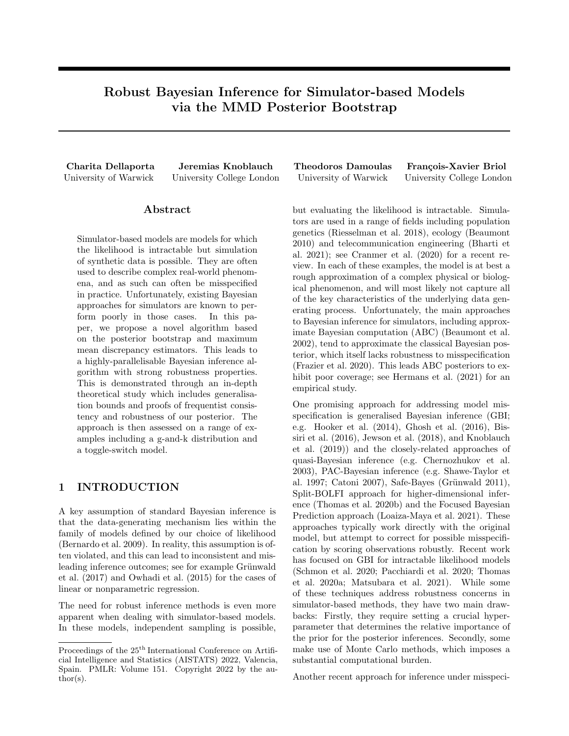**Lemma 8.** Let  $\mathsf{P}_n$  denote the empirical measure  $\mathsf{P}_n = \frac{1}{n} \sum_{i=1}^n \delta_{x_i}$  then

$$
\mathsf{E}_{x_{1:n} \text{ iid } \mathsf{p}} \left[ \mathsf{E}_{z_{1:7} \text{ iid } \mathsf{f}^{\mathsf{0}}}\left[\text{MMD}(\mathsf{P}_n, \mathsf{F}^{\mathsf{0}})\right]\right] \quad \frac{2\alpha}{\alpha+n}.
$$

*Proof.* By definition of  $F^{\theta}$  and linearity of expectations, it follows that  $E_{F^{\theta}}[ ] = \frac{\alpha}{\alpha + n} E_{F}[ ] + \frac{n}{n + \alpha} E_{P_n}[ ]$  and hence

$$
\mu_{\mathsf{F}^0} = \mathsf{E}_{\mathsf{F}^0}[k(z, \cdot)] = \frac{\alpha}{\alpha + n} \mathsf{E}_{\mathsf{F}}[k(z, \cdot)] + \frac{n}{n + \alpha} \mathsf{E}_{\mathsf{P}_n}[k(z, \cdot)] = \frac{\alpha}{\alpha + n} \mu_{\mathsf{F}} + \frac{n}{n + \alpha} \mu_{\mathsf{P}_n}.
$$
\n(11)

Therefore,

$$
E_{x_{1:n}}{}^{i}_{\text{id }p} \left[ E_{z_{1:n}}{}^{i}_{\text{id }p} \left[ \mathbf{MMD}^{2}(\mathbf{P}_{n}, \mathbf{F}^{\theta}) \right] \right]
$$
\n
$$
= E_{x_{1:n}}{}^{i}_{\text{id }p} \left[ E_{z_{1:n}}{}^{i}_{\text{id }p} \left[ \mathbf{K}\mu_{\mathbf{P}_{n}}{}_{\mu_{\mathbf{F}}\phi} \mathbf{K}\mu_{\mathbf{P}_{n}} \mu_{\mathbf{F}} \phi_{\mathbf{P}_{n}}^{2} \right] \right]
$$
\n
$$
= E_{x_{1:n}}{}^{i}_{\text{id }p} \left[ E_{z_{1:n}}{}^{i}_{\text{id }p} \left[ \left\| \mu_{\mathbf{P}_{n}}{}_{\alpha}{}_{\alpha}{}_{\alpha}{}_{\mu}{}_{\mu}{}_{\mu}{}_{\mu}{}_{\mu}{}_{\mu} \right\|_{\mathbf{P}_{n}}^{2} \right] \right]
$$
\n
$$
= \frac{\alpha^{2}}{(\alpha+n)^{2}} E_{x_{1:n}}{}^{i}_{\text{id }p} \left[ E_{z_{1:n}}{}^{i}_{\text{id }p} \left[ \left\| \mu_{\mathbf{P}_{n}}{}_{\alpha}{}_{\mu}{}_{\mu}{}_{\mu}{}_{\mu}{}_{\mu}{}_{\mu} \right\| \right] \right]
$$
\n
$$
= \frac{\alpha^{2}}{(\alpha+n)^{2}} E_{x_{1:n}}{}^{i}_{\text{id }p} \left[ E_{z_{1:n}}{}^{i}_{\text{id }p} \left[ \left\| \frac{1}{n} \sum_{i=1}^{n} k(x_{i},) \right\|_{\mathbf{P}_{k}}^{2} \frac{2}{n} \sum_{i=1}^{n} \hbar k(x_{i},), E_{z} \left[ k(z,)\right] / + k\mu_{\mathbf{F}} k_{\mathbf{P}_{n}}^{2} \right] \right]
$$
\n
$$
= \frac{\alpha^{2}}{(\alpha+n)^{2}} E_{x_{1:n}}{}^{i}_{\text{id }p} \left[ E_{z_{1:n}}{}^{i}_{\text{id }p} \left[ \frac{1}{n^{2}} \sum_{i=1}^{n} k(x_{i}, x_{i}) + \frac{2}{n^{2}} \sum_{i \in j} k(x
$$

The first three equalities above follow from the definition of the MMD in terms of the kernel mean embeddings and equation (11). The following three equalities use the definition of the kernel mean embedding as well as the characteristic property which ensures that

$$
k \mathsf{E}_{z} \mathsf{F}[k(z,)]k_{H_k}^2 = \hbar \mathsf{E}_{z} \mathsf{F}k(z,), \mathsf{E}_{z} \mathsf{F}k(z,)i_{H_k}
$$
  
\n
$$
= \hbar \mathsf{E}_{z} \mathsf{F}k(z,), \mathsf{E}_{z^0} \mathsf{F}k(z, z^0)i_{H_k}
$$
  
\n
$$
= \mathsf{E}_{z,z^0} \mathsf{F}h k(z,), k(z^0)i_{H_k}
$$
  
\n
$$
= \mathsf{E}_{z,z^0} \mathsf{F}[k(z, z^0)].
$$

For the inequality above we used again the standing assumption 1 about the boundedness of the kernel. To conclude, by Jensen's inequality we have

$$
\mathsf{E}_{x_{1:n} \text{ iid } \mathsf{P}} \left[ \mathsf{E}_{z_{1:7}} \quad \mathsf{F}^{\mathsf{O}} \left[ \text{MMD}(\mathsf{P}_n, \mathsf{F}^{\mathsf{O}}) \right] \right] \quad \sqrt{\mathsf{E}_{x_{1:n} \text{ iid } \mathsf{P}} \left[ \mathsf{E}_{z_{1:7}} \quad \mathsf{F}^{\mathsf{O}} \left[ \text{MMD}^2(\mathsf{P}_n, \mathsf{F}^{\mathsf{O}}) \right] \right]} \quad \frac{2\alpha}{\alpha + n}.
$$

We can now formulate and prove the generalisation error bound below.

**Theorem 9.** Assume  $x_{1:n}$   $\overset{\text{iid}}{\sim} P$  and let P be a sample from the exact DP posterior with law  $\nu$ . Then

 $\mathsf{E}_{x_{1:n}}\mathsf{_{}^{iid}p}\ \, \big[\mathsf{E}_{\mathsf{P}\ \ \nu}\left[\text{MMD}(\mathsf{P}\,\, ,\mathsf{P}_{\theta}\,\,_{(\mathsf{P})})\right]\right]\quad\mathsf{inf}_{\theta\mathsf{2}\Theta}\mathsf{MMD}(\mathsf{P}_{\theta},\mathsf{P}\,\,)+\mathsf{P}_{\overline{n}}^{\mathsf{2}}+\mathsf{P}_{\overline{\alpha+n+2}}^{\mathsf{2}}+\tfrac{4\alpha}{\alpha+n}.\nonumber$ 

*Proof.* Using the triangle inequality we have that for any  $\theta \neq 0$ :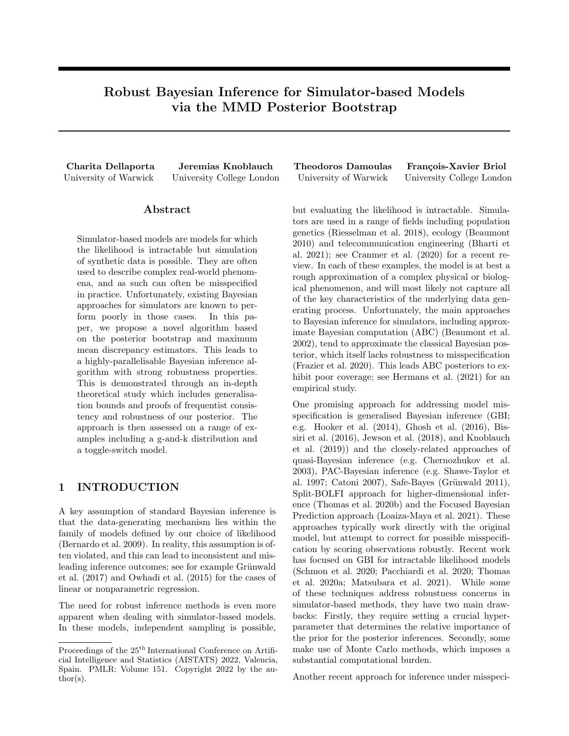$$
\begin{array}{ll}\n\text{MMD}(P, P_{\theta (P)}) & \text{MMD}(P_{\theta (P)}, P) + \text{MMD}(P, P) \\
& \text{MMD}(P_{\theta}, P) + \text{MMD}(P, P) \\
& \text{MMD}(P_{\theta}, P) + 2 \text{MMD}(P, P) \\
& \text{MMD}(P_{\theta}, P) + 2 \text{MMD}(P_n, P) + 2 \text{MMD}(P, P_n) \\
& \text{MMD}(P_{\theta}, P) + 2 \text{MMD}(P_n, P) + 2 \text{MMD}(P, F^{\theta}) + 2 \text{MMD}(P_n, F^{\theta}).\n\end{array}
$$

For the first step above we used the triangle inequality and for the second we used the fact that since  $\theta =$  $\arg \inf_{\theta \geq \Theta} \text{MMD}(\mathsf{P}, \mathsf{P}_{\theta})$  it follows that  $\text{MMD}(\mathsf{P}_{\theta}(\mathsf{P}), \mathsf{P})$  MMD $(\mathsf{P}_{\theta}, \mathsf{P})$  for any  $\theta \geq \Theta$ . The remaining inequalities are obtained by reapplying the triangle inequality on  $MMD(P_{\theta}, P)$ ,  $MMD(P, P_n)$  and  $MMD(P, P_n)$  respectively. Since the above is true for any  $\theta \, \mathcal{2} \, \Theta$  it follows that

$$
\text{MMD}(\mathsf{P}, \mathsf{P}_{\theta(\mathsf{P})}) \quad \text{inf}_{\theta \geq \Theta} \text{MMD}(\mathsf{P}_{\theta}, \mathsf{P}) + 2 \text{MMD}(\mathsf{P}_{n}, \mathsf{P}) + 2 \text{MMD}(\mathsf{P}, \mathsf{F}^{\theta}) + 2 \text{MMD}(\mathsf{P}_{n}, \mathsf{F}^{\theta}).
$$

Taking expectations on both sides we obtain

$$
\begin{aligned}\n\mathsf{E}_{x_{1:n}} &\text{ind}_{\mathsf{P}} \left[ \mathsf{E}_{w_{1:7}} \mathsf{GEM}(\alpha^{\theta}) \left[ \mathsf{E}_{z_{1:7}} \mathsf{iid}_{\mathsf{F}^{\theta}} \left[ \text{MMD}(\mathsf{P}, \mathsf{P}_{\theta} \right] \mathsf{P}) \right] \right] &\quad \text{inf}_{\theta \geq \Theta} \text{MMD}(\mathsf{P}_{\theta}, \mathsf{P}) + 2 \, \mathsf{E}_{x_{1:n}} \mathsf{iid}_{\mathsf{P}} \left[ \text{MMD}(\mathsf{P}_{n}, \mathsf{P}) \right] \\
&\quad + 2 \, \mathsf{E}_{w_{1:7}} \mathsf{GEM}(\alpha^{\theta}) \left[ \mathsf{E}_{z_{1:7}} \mathsf{iid}_{\mathsf{F}^{\theta}} \left[ \text{MMD}(\mathsf{P}, \mathsf{F}^{\theta}) \right] \right] \\
&\quad + 2 \, \mathsf{E}_{x_{1:n}} \mathsf{iid}_{\mathsf{P}} \left[ \mathsf{E}_{z_{1:7}} \mathsf{iid}_{\mathsf{F}^{\theta}} \left[ \text{MMD}(\mathsf{P}_{n}, \mathsf{F}^{\theta}) \right] \right].\n\end{aligned}
$$

The result now follows by Lemmas 6, 7 and 8.

The well-specified case is an immediate consequence of the Theorem:

**Corollary 10.** Suppose that the model is well-speci ed, i.e.  $\inf_{\theta \ge 0} \text{MMD}(P_{\theta}, P_{\theta}) = 0$  then

$$
\mathsf{E}_{x_{1:n}\text{-}\mathrm{iid}\, \mathsf{p}}\ \left[\mathsf{E}_{\mathsf{P}\ \nu}\left[\text{MMD}(\mathsf{P}\ , \mathsf{P}_{\theta\ ( \mathsf{P})})\right]\right]\quad \ \mathsf{P}_{\overline{n}}^{\!\!2} + \mathsf{P}_{\overline{\alpha + n + 2}}^{\;\;2} + \tfrac{4\alpha}{\alpha + n}.
$$

*Proof.* The corollary follows directly from Theorem 9 by setting  $\inf_{\theta \geq 0} MMD(P_{\theta}, P) = 0$ .

### B.3 Theorem 3

We start with a lemma bounding the expected MMD between the empirical measure and the approximated DP posterior sample. Recall that the probability measure  $\hat{\nu}$  refers to the law on P induced by the sampling process:

$$
(w_{1:n}, \tilde{w}_{n+T}) \quad \text{Dir}\left(1, \ldots, 1, \frac{\alpha}{T}, \ldots, \frac{\alpha}{T}\right) \tag{12}
$$

$$
\tilde{x}_{1:T} \stackrel{\text{iid}}{=} \mathsf{F} \tag{13}
$$

$$
\mathsf{P} := \sum_{i=1}^n w_i \delta_{x_i} + \sum_{k=1}^T \tilde{w}_k \delta_{\tilde{x}_k} \quad \hat{\nu}.
$$

For clarity we use the individual expectations  $\mathsf{E}_{(w_{1:n}, \tilde{w}_{n+T})}$  Dir $(1,...,1,\frac{\alpha}{T},..., \frac{\alpha}{T})$ , which we denote by  $\mathsf{E}_{w}$  Dir, and  $\mathbb{E}_{\tilde{x}_{1:T}^{\text{iid}} \in \mathbb{R}}$  arising from Equations (12)-(13) in the proofs below—rather than a single expectation over  $\hat{\nu}$ .

**Lemma 11.** Let  $P \quad \hat{\nu}$  denote a single draw from the approximated DP posterior, i.e.

$$
\mathsf{P} = \sum_{i=1}^{n} w_i \delta_{x_i} + \sum_{k=1}^{T} \tilde{w}_k \delta_{\tilde{x}_k}.
$$

Then

$$
\mathsf{E}_{x_{1:n}} \mathsf{_{}_{\mathsf{P}}} \left[ \mathsf{E}_{\mathsf{P}} \left[ \mathsf{MMD}(\mathsf{P}, \mathsf{P}_n) \right] \right] \quad 2\sqrt{\frac{\alpha(1+\alpha)}{(\alpha+n)(\alpha+n+1)}}
$$

 $\Box$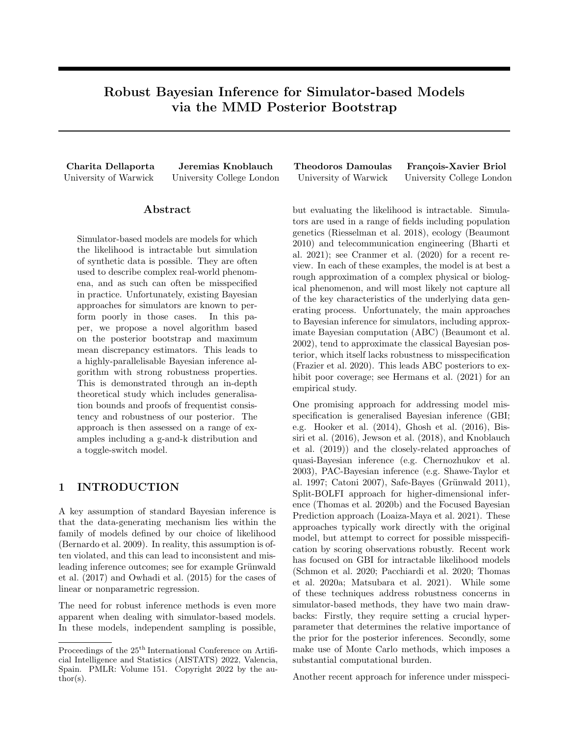*Proof.* The mean embedding for  $P$  is  $\mu_P = \sum_{i=1}^n w_i k(x_i, ) + \sum_{j=1}^T \tilde{w}_j k(\tilde{x}_j, )$ . Hence using the triangle inequality:

MMD (P, P<sub>n</sub>) = 
$$
k\mu_P \mu_{P_n} k_{H_k}
$$
  
\n=  $\left\| \sum_{i=1}^n w_i k(x_i, ) + \sum_{j=1}^T \tilde{w}_j k(\tilde{x}_j, ) \mu_{P_n} \right\|_{H_k}$   
\n $k \sum_{i=1}^n w_i k(x_i, ) \mu_{P_n} k_{H_k} + \left\| \sum_{j=1}^T \tilde{w}_j k(\tilde{x}_j, ) \right\|_{H_k}$ . (14)

To bound  $\mathsf{E}_{x_{1:n}}$  id p  $[\mathsf{E}_{\mathsf{P}} \hat{\rho} \left[ K \sum_{i=1}^n w_i k(x_i, ) \right]$   $\mu_{\mathsf{P}_n} k_{\mathsf{H}_k} ]$ , first we note that from the moments of a Dirichlet distribution we have that for any  $i, j \n\geq f_1, \ldots, n$ *g*:

$$
\mathbb{E}_w \quad \text{Dir}[w_i] = \frac{1}{n+\alpha}, \qquad \mathbb{E}_w \quad \text{Dir}[w_i^2] = \frac{2}{(\alpha+n+1)(\alpha+n)} \qquad \text{and} \qquad \mathbb{E}_w \quad \text{Dir}[w_i w_j] = \frac{1}{(\alpha+n)(\alpha+n+1)}. \tag{15}
$$

Hence

$$
\begin{split}\n& \mathsf{E}_{x_{1:n}}{}_{\text{iid p}} \left[ \mathsf{E}_{\mathsf{P}} \left[ \rho \left[ \left\| \frac{1}{n} \sum_{i=1}^{n} k(x_{i}, ) \sum_{i=1}^{n} w_{i} k(x_{i}, ) \right\|_{H_{k}}^{2} \right] \right] \\
& = \mathsf{E}_{x_{1:n}}{}_{\text{iid p}} \left[ \mathsf{E}_{\mathsf{P}} \left[ \left\| \sum_{i=1}^{n} \left( \frac{1}{n} - w_{i} \right) k(x_{i}, ) \right\|_{H_{k}}^{2} \right] \right] \\
& = \mathsf{E}_{x_{1:n}}{}_{\text{iid p}} \left[ \mathsf{E}_{\mathsf{P}} \left[ \sum_{i=1}^{n} \left( \frac{1}{n} - w_{i} \right)^{2} jk(x_{i}, x_{i}) / + 2 \sum_{1-i < j} \left( \frac{1}{n} - w_{i} \right) \left( \frac{1}{n} - w_{j} \right) jk(x_{i}, x_{j}) \right] \right] \\
& \mathsf{E}_{\mathsf{P}} \left[ \sum_{i=1}^{n} \left( \frac{1}{n} - w_{i} \right)^{2} + 2 \sum_{1-i < j} \left( \frac{1}{n} - w_{i} \right) \left( \frac{1}{n} - w_{j} \right) \right] \\
& = \sum_{i=1}^{n} \left[ \frac{1}{n^{2}} - \frac{2}{n} \sum_{w} \text{Dir}(w_{i}) + \text{E}_{w} \text{ Dir}(w_{i}^{2}) \right] + 2 \sum_{1-i < j} \left( \frac{1}{n^{2}} - \frac{1}{n} \sum_{w} \text{Dir}(w_{i}) - \frac{1}{n} \sum_{w} \text{Dir}(w_{j}) + \text{E}_{w} \text{ Dir}(w_{i}w_{j}) \right] \\
& = \frac{1}{n} - \frac{2n}{n(n+\alpha)} + \frac{2n}{(n+\alpha)(n+\alpha+1)} + \frac{n(n-1)}{n^{2}} - \frac{2(n-1)}{n+\alpha} + \frac{n(n-1)}{(n+\alpha)(n+\alpha+1)} \\
& = \frac{\alpha(\alpha+1)}{(n+\alpha)(n+\alpha+1)}. \n\end{split}
$$

Here the inequality follows again from standing assumption 1 and the result is obtained by using the expectations in (15). Hence, by Jensen's inequality,

$$
\mathsf{E}_{x_{1:n} \text{ iid } p} \left[ \mathsf{E}_{\mathsf{P} \ \hat{\nu}} \left[ \mathcal{K} \sum_{i=1}^{n} w_i k(x_i, \ ) - \mu_{\mathsf{P}_n} \mathcal{K}_{\mathsf{H}_k} \right] \right] - \rho \frac{\mathcal{P}_{\overline{\alpha(\alpha+1)}}}{(n+\alpha)(n+\alpha+1)}.
$$
\n(16)

Similarly due to standing assumption 1, to bound  $\mathbb{E}_{P}$   $_{\hat{\nu}}[k\sum_{j=1}^{T}\tilde{w}_{j}k(\tilde{x}_{j},\cdot)k_{H_{k}}]$ , we note that

$$
\left\| \sum_{j=1}^{T} \tilde{w}_j k(\tilde{x}_j, \cdot) \right\|_{H_k}^2 = \sum_{j=1}^{T} \tilde{w}_j^2 k(\tilde{x}_j, \tilde{x}_j) + 2 \sum_{1} \sum_{j < k} T(\tilde{w}_j \tilde{w}_j k(\tilde{x}_j, \tilde{x}_k))
$$

$$
\sum_{j=1}^{T} \tilde{w}_j^2 + 2 \sum_{1} \sum_{j < k} T(\tilde{w}_j \tilde{w}_k)
$$

hence

$$
\mathsf{E}_{\mathsf{P}\ \hat{\nu}}\left[k\sum_{j=1}^{T}\tilde{w}_{j}k(\tilde{x}_{j},\,)k_{\mathsf{H}_{k}}^{2}\right] \quad \mathsf{E}_{w\ \text{Dir}}\left[\sum_{j=1}^{T}\tilde{w}_{j}^{2}\right]+\mathsf{E}_{w\ \text{Dir}}\left[2\sum_{1\ j
$$

Now from the moments of a Dirichlet distribution we have that for any  $j, k \n\geq f_1, \ldots, Tg$ :

$$
\mathsf{E}_{w \text{ Dir}}[\tilde{w}_j] = \frac{\alpha}{T(n+\alpha)}, \qquad \mathsf{E}_{w \text{ Dir}}[\tilde{w}_j^2] = \frac{\alpha^2 + T\alpha}{T^2(\alpha + n + 1)(\alpha + n)} \qquad \text{and} \qquad \mathsf{E}_{w \text{ Dir}}[\tilde{w}_j \tilde{w}_k] = \frac{\alpha^3 + \alpha^2 n}{T^2(\alpha + n)^2(\alpha + n + 1)}.
$$

Substituting these in equation (17) we obtain

$$
\mathbb{E}_{\mathsf{P}} \left\| \left\| \sum_{j=1}^{T} \tilde{w}_{j} k(\tilde{x}_{j}, \cdot) \right\|_{\mathcal{H}_{k}}^{2} \right\|_{\mathcal{H}_{k}} \frac{\alpha^{2} + T\alpha}{T(\alpha + n + 1)(\alpha + n)} + (T - 1) \frac{\alpha^{3} + \alpha^{2} n}{T(\alpha + n)^{2}(\alpha + n + 1)} \\
= \frac{T(\alpha + n)(\alpha + 1)\alpha}{T(\alpha + n + 1)(\alpha + n)} \\
= \frac{\alpha(1 + \alpha)}{(\alpha + n)(\alpha + n + 1)}.
$$

Hence, by Jensen's inequality

$$
\mathsf{E}_{\mathsf{P} \ \hat{\nu}} \left[ \left\| \sum_{j=1}^{T} \tilde{w}_j k(\tilde{x}_j, \cdot) \right\|_{\mathcal{H}_k} \right] \quad \sqrt{\frac{\alpha(1+\alpha)}{(\alpha+n)(\alpha+n+1)}}
$$
(18)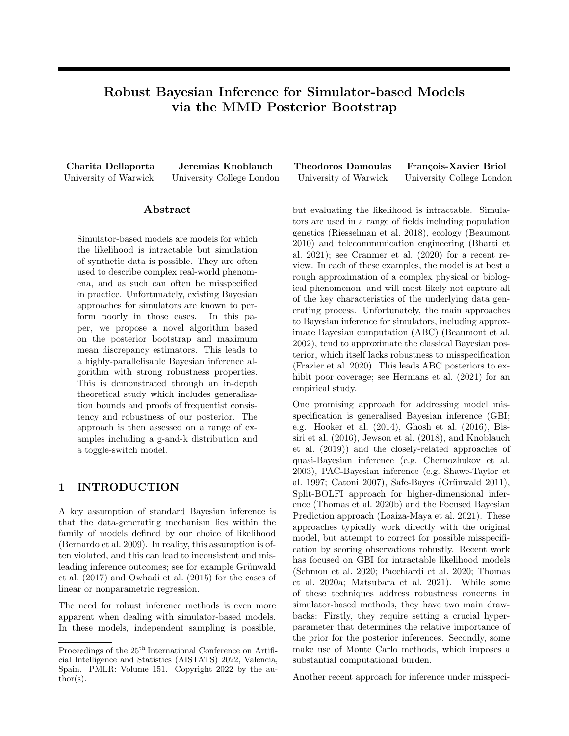for some fixed  $\alpha$ . Therefore, by substituting equations (16) and (18) in equation (14) we obtain the required result:

$$
\mathsf{E}_{x_{1:n} \text{ iid } p} \left[ \mathsf{E}_{\mathsf{P} \ \hat{\nu}} \left[ \text{MMD}(\mathsf{P}, \mathsf{P}_n) \right] \right] \quad \mathsf{E}_{x_{1:n} \text{ iid } p} \left[ k \sum_{i=1}^n w_i k(x_i, \cdot) \quad \mu_{\mathsf{P}_n} k_{H_k} \right] + \mathsf{E}_{\mathsf{P} \ \hat{\nu}} \left[ \left\| \sum_{j=1}^T \tilde{w}_j k(\tilde{x}_j, \cdot) \right\|_{H_k} \right]
$$
\n
$$
2 \sqrt{\frac{\alpha(1+\alpha)}{(\alpha+n)(\alpha+n+1)}}.
$$

We now proceed with the proof of the generalisation error in Theorem 3.

*Proof.* We have that for any  $\theta$  2  $\Theta$ :

MMD(P , P<sup>θ</sup> (P)) MMD(P<sup>θ</sup> (P) , P) + MMD(P , P) MMD(Pθ, P) + MMD(P , P) MMD(Pθ, P ) + 2 MMD(P , P) MMD(Pθ, P ) + 2 MMD(Pn, P ) + 2 MMD(P, Pn)

For the first inequality above we used the triangle inequality and for the second inequality we used the fact that  $\theta$  (P) = arg inf<sub> $\theta$ 2</sub>⊖ MMD(P, P<sub> $\theta$ </sub>). The last two inequalities follow again by repeatedly applying the triangle inequality to  $MMD(P_{\theta}, P)$  and  $MMD(P_{\theta}, P)$ . The above statements hold for any  $\theta \neq 0$  hence we have

$$
\text{MMD}(\mathsf{P}^{\mathsf{P}}, \mathsf{P}_{\theta}^{\mathsf{P}}(\mathsf{P})) = \inf_{\theta \geq \Theta} \text{MMD}(\mathsf{P}_{\theta}, \mathsf{P}^{\mathsf{P}}) + 2 \text{MMD}(\mathsf{P}_{n}, \mathsf{P}^{\mathsf{P}}) + 2 \text{MMD}(\mathsf{P}^{\mathsf{P}}, \mathsf{P}_{n}).
$$

Taking double expectation on both sides we obtain

$$
E_{x_{1:n} \text{ iid } p} \left[ E_{P \ \hat{\nu}} \left[ \text{MMD}(P \ , P_{\theta \ (P)}) \right] \right] \quad \text{inf}_{\theta \geq \Theta} \text{MMD}(P_{\theta}, P \ ) + 2 E_{x_{1:n} \text{ iid } p} \left[ \text{MMD}(P_n, P) \right] + 2 E_{x_{1:n} \text{ iid } p} \left[ E_{P \ \hat{\nu}} \left[ \text{MMD}(P, P_n) \right] \right].
$$

The result then follows from Lemmas 6 and 11.

The well-specified case is an immediate consequence of the Theorem:

**Corollary 12.** Suppose that the model is well-speci ed, i.e.  $\inf_{\theta \ge 0} \text{MMD}(P_{\theta}, P) = 0$  then

$$
\mathsf{E}_{x_{1:n} \text{ iid } \mathsf{p}} \left[ \mathsf{E}_{\mathsf{P} \ \hat{\nu}} \left[ \text{MMD}(\mathsf{P} \ , \mathsf{P}_{\theta \ (P)}) \right] \right] \quad \mathsf{P}_{\overline{n}}^2 + \mathsf{P}_{\overline{(\alpha+n)(\alpha+n+1)}}^{\mathsf{D}_{\overline{\alpha(1+\alpha)}}}.
$$

*Proof.* The corollary follows directly from Theorem 3 by setting  $\inf_{\theta \geq 0} MMD(P_{\theta}, P) = 0$ .

### B.4 Theorem 4

We can prove that the posterior consistency result indeed holds by adapting the arguments in Chérief-Abdellatif et al. (2020) (Theorem 2) from equation (6) to the required statement of Theorem 4.

Proof. Using Proposition 3 and Markov's inequality we have:

$$
\begin{split}\n\mathsf{E}_{x_{1:n}} &\text{iid }_{\mathsf{P}} \left[ \hat{\nu} \left( \text{MMD}(\mathsf{P}_{\theta} \text{ } (\mathsf{P}), \mathsf{P} \text{ } ) \right. \text{ } \text{ inf}_{\theta \geq \Theta} \text{MMD}(\mathsf{P}_{\theta}, \mathsf{P} \text{ } ) > M_n \text{ } n^{-1/2} \right] \\
& \frac{\mathsf{E}_{x_{1:n}}}{x_{1:n}} \mathsf{Id}_{\mathsf{P}} \left[ \mathsf{E}_{\mathsf{P} \backslash \mathsf{P}} \left[ \text{MMD}(\mathsf{P}_{\theta} \text{ } (\mathsf{P}), \mathsf{P} \text{ } ) \right. \right] \\
& \frac{\mathsf{E}_{x_{1:n}}}{M_n} \frac{\mathsf{E}_{\mathsf{P} \backslash \mathsf{P}} \left[ \text{MMD}(\mathsf{P}_{\theta} \text{ } (\mathsf{P}), \mathsf{P} \text{ } ) \right] \right]}{M_n} \\
& \frac{2n^{-1/2}}{M_n} + \frac{A}{M_n} \frac{\mathsf{Var}(1+\alpha)}{(\alpha+n)(\alpha+n+1)} \frac{n!}{n} \frac{1}{n} \quad 0.\n\end{split}
$$

 $\Box$ 

 $\Box$ 

 $\Box$ 

 $\Box$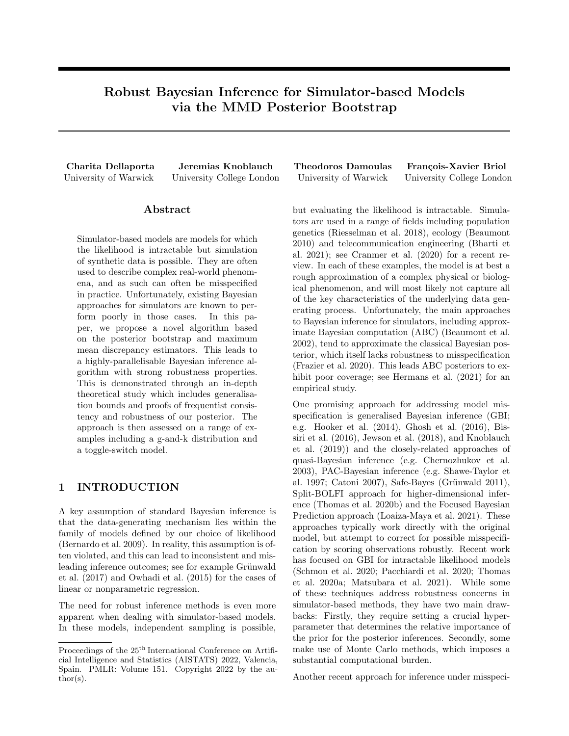Again, the well-specified case is a special case of Theorem 4 for  $C = 0$ .

**Corollary 13.** Suppose we have a well-speci ed model, i.e.  $\inf_{\theta \geq \Theta} \text{MMD}(P_{\theta}, P) = 0$  and let  $P = \sum_{i=1}^{n} w_i \delta_{x_i} +$  $\sum_{k=1}^T \tilde w_k \delta_{\tilde x_k} \quad$   $\hat \nu$  be a sample from the approximate posterior. Then for any  $M_n$  !  $+1$  such that  $M_n$   $n^{-1/2}$  !  $\;$   $0$  $\sum_{k=1}^T \tilde{w}_k \delta_{\tilde{x}_k}$ as  $n$  ! 1

$$
\hat{\nu}\bigg(\mathsf{P}\,\,2\,\mathsf{P}\,\,:\,\mathrm{MMD}(\mathsf{P}\,\,\,,\mathsf{P}_{\theta}\,\,\mathsf{(P)})\,\big) \underset{n^{1/2}}{\xrightarrow{\,M_n}}\bigg)\,^{n\,l}\,\big/\,^{\,7}\ \ 0.
$$

Proof. Using Theorem 3 in the well specified case and Markov's inequality we have that

$$
E_{x_{1:n} \text{ id }p} \left[ \hat{\nu} \left( \text{MMD}(\text{P }, \text{P}_{\theta} \text{ (p)}) \right) > M_n \left( n^{-1/2} \right) \right] = \frac{E_{x_{1:n} \text{ id }p} \left[ E_{\text{P }} \hat{\nu} \left[ \text{MMD}(\text{P }, \text{P}_{\theta} \text{ (p)}) \right] \right]}{M_n \left[ n^{-1/2} \right]} \frac{\sum_{n=1:n}^{\infty} \hat{\nu} \left[ \text{MMD}(\text{P }, \text{P}_{\theta} \text{ (p)}) \right]}{M_n \left[ n^{-1/2} \right]} \left[ \frac{\sum_{n=1:n}^{\infty} \hat{\nu} \left[ \text{MMD}(\text{P }, \text{P}_{\theta} \text{ (p)}) \right]}{M_n \left[ n^{-1/2} \right]} \right]
$$
\n
$$
= \frac{2n^{-1/2}}{M_n \left[ \frac{n}{\alpha + n} \right] \left( \frac{n}{\alpha + n} \right)} \frac{\sum_{n=1:n}^{\infty} \hat{\nu} \left[ \text{MMD}(\text{P }, \text{P}_{\theta} \text{ (p)}) \right]}{\sum_{n=1:n}^{\infty} \hat{\nu} \left[ \text{MMD}(\text{P }, \text{P}_{\theta} \text{ (p)}) \right]} \frac{\sum_{n=1:n}^{\infty} \hat{\nu} \left[ \text{MMD}(\text{P }, \text{P}_{\theta} \text{ (p)}) \right]}{\sum_{n=1:n}^{\infty} \hat{\nu} \left[ \text{MMD}(\text{P }, \text{P}_{\theta} \text{ (p)}) \right]} \frac{\sum_{n=1:n}^{\infty} \hat{\nu} \left[ \text{MMD}(\text{P }, \text{P}_{\theta} \text{ (p)}) \right]}{\sum_{n=1:n}^{\infty} \hat{\nu} \left[ \text{MMD}(\text{P }, \text{P}_{\theta} \text{ (p)}) \right]}
$$

#### B.5 Corollary 5

Before we present the generalisation bound we will use the following lemma from Chérief-Abdellatif et al. (2019) which bounds the absolute difference of the MMD between the parametric model and each of the contaminated and non-contaminated probability measures.

Lemma 14 (Chérief-Abdellatif et al. (2019) Lemma 3.3). For any  $\theta \ge 0$ ,

$$
j\text{MMD}(P_{\theta}, P) \quad \text{MMD}(P_{\theta}, \tilde{P})j \quad 2\epsilon.
$$

Using this lemma and the previously obtained generalisation bounds we can show the required statement of Corollary 5.

*Proof.* From Lemma 14 we have that for any  $\theta \, 2\,\Theta$ :

$$
\text{MMD}(\mathsf{P}_{\theta}, \tilde{\mathsf{P}}) \quad 2\epsilon + \text{MMD}(\mathsf{P}_{\theta}, \mathsf{P}_{0}) \tag{19}
$$

$$
\text{MMD}(\mathsf{P}_{\theta}, \mathsf{P}) \quad 2\epsilon + \text{MMD}(\mathsf{P}_{\theta}, \tilde{\mathsf{P}}) \tag{20}
$$

Hence, using equations 19, 20 and Proposition 3 we have that

$$
E_{x_{1:n} \text{ id } \rho} \left[ E_{\rho \ \hat{\nu}} \left[ \text{MMD}(\tilde{\rho}, P_{\theta \ (P)}) \right] \right] \quad 2\epsilon + E_{x_{1:n} \text{ id } \rho} \left[ E_{\rho \ \hat{\nu}} \left[ \text{MMD}(\rho, P_{\theta \ (P)}) \right] \right]
$$

$$
2\epsilon + \inf_{\theta \ge 0} \text{MMD}(\rho, P_{\theta}) + \frac{2}{n} + \frac{2}{n} \frac{4}{(\alpha + n)(\alpha + n + 1)}}{(\alpha + n)(\alpha + n + 1)}
$$

$$
4\epsilon + \inf_{\theta \ge 0} \text{MMD}(\tilde{\rho}, P_{\theta}) + \frac{2}{n} + \frac{2}{n} \frac{4}{(\alpha + n)(\alpha + n + 1)}
$$

 $\Box$ 

 $\Box$ 

The well-specified case is an immediate consequence:

Corollary 15 (Well-specified Case). Suppose the model is well speci ed in terms of the target  $\tilde{P}$ , i.e.  $9\theta$  2  $\Theta$ such that  $P_{\theta} = \tilde{P}$ . Then

$$
\mathsf{E}_{x_{1:n}\text{-}\mathrm{iid}\, \mathsf{p}}\ \left[\mathsf{E}_{\mathsf{P}\ \hat{\nu}}\left[\mathrm{MMD}(\tilde{\mathsf{P}},\mathsf{P}_{\theta\ ( \mathsf{P})})\right]\right]\quad \, 4\epsilon+\text{$\not\!\#$}\frac{\rho}{\overline{n}}+\text{$\not\!\#$}\frac{\rho_{\overline{\alpha(1+\alpha)}}}{(\alpha+n)(\alpha+n+1)}.
$$

*Proof.* The corollary follows from Corollary 5 noting that in the well-specified case  $\inf_{\theta \geq 0} \text{MMD}(\mathcal{P}_{\theta}, \tilde{\mathcal{P}}) = 0.$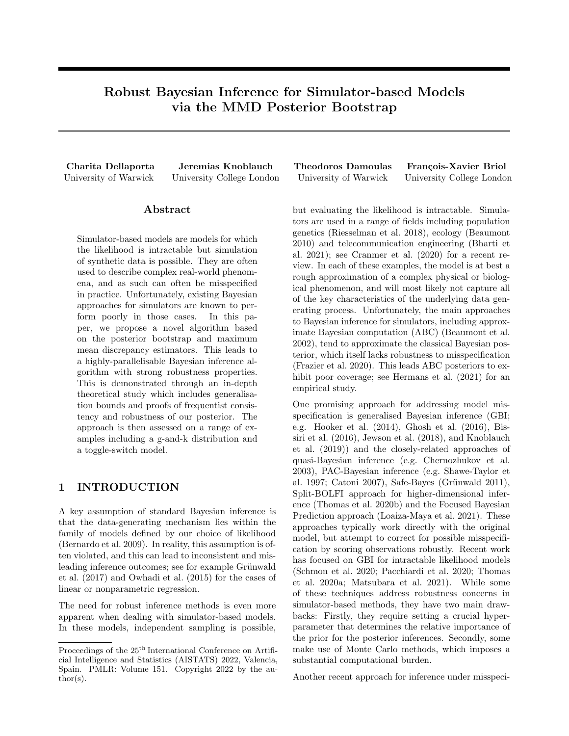### C EXPERIMENTAL DETAILS

We now provide further experimental details of our method. We first explain how gradient-based numerical optimisation can be used to minimise the MMD objective in algorithm 1. Next, we provide the experimental setup necessary for the reproduction of the experiments presented in the main text. We then give some additional details on the G-and-k and Toggle-Switch models. We finally provide results of all experiments over a number of independent runs.

### C.1 Numerical Optimisation for the MMD Objective

We first explain how the MMD objective in equation (5) can be approximated and minimized through gradientbased methods. For two probability measures  $P, Q, Q, P$  recall that the squared MMD is defined as

MMD<sup>2</sup>(P, Q) = 
$$
\int_X \chi k(x, y) P(dx) P(dy) \quad 2 \int_X \chi k(x, y) P(dx) Q(dy)
$$
  
+  $\int_X \chi k(x, y) Q(dx) Q(dy)$ .

Since these integrals are usually intractable we can easily approximate this by sampling  $x_{1:N}$  id  $\Box$   $\Box$ and using the U-statistic:

$$
\text{MMD}^{2}(\mathsf{P}, \mathsf{Q}) = \frac{1}{N(N-1)} \sum_{i \notin i^{0}}^{N} k(x_{i}, x_{i^{0}}) \frac{2}{Nm} \sum_{i=1}^{N} \sum_{j=1}^{m} k(x_{i}, y_{j}) + \frac{1}{m(m-1)} \sum_{j \notin j^{0}}^{N} k(y_{j}, y_{j^{0}}).
$$

In our case we are interested in minimising the MMD between the parametric model  $P_{\theta}$  2  $P_{\Theta}$  defined through the simulator  $G_{\theta}$ : U ! X and an approximated sample from the DP posterior P. Hence, for samples  $y_{1:N}$ <sup>iid</sup> P and  $u_{1:M}$  id U the approximated squared MMD is

$$
\text{MMD}^{2}(\mathsf{P}, \mathsf{P}_{\theta}) = \frac{1}{N(N-1)} \sum_{i \notin i^{\theta}}^{N} k(y_i, y_{i^{\theta}}) \frac{2}{NM} \sum_{j=1}^{M} \sum_{i=1}^{N} k(G_{\theta}(u_j), y_i) + \frac{1}{M(M-1)} \sum_{j \notin j^{\theta}} k(G_{\theta}(u_j), G_{\theta}(u_{j^{\theta}})). \tag{21}
$$

The gradient of equation (21) can also be approximated using a U-statistic as follows: assuming that the generator is differentiable with respect to  $\theta$  with gradient  $r_{\theta}G_{\theta}$  then the U-statistic of the gradient of the squared MMD is

$$
\hat{J}_{\theta}(u_{1:M}, y_{1:N}) := \Gamma_{\theta} \text{MMD}^{2}(\mathsf{P}, \mathsf{P}_{\theta}) = \frac{2}{M(M-1)} \sum_{j \in \mathcal{j}^{\theta}}^{M} \Gamma_{\theta} G_{\theta}(u_{j}) \Gamma_{1} k(G_{\theta}(u_{j}), G_{\theta}(u_{j^{\theta}}))
$$

$$
\frac{2}{NM} \sum_{j=1}^{M} \sum_{i=1}^{N} \Gamma_{\theta} G_{\theta}(u_{j}) \Gamma_{1} k(G_{\theta}(u_{j}), y_{i})
$$

where  $r_1$  denotes the partial derivative with respect to the first argument and by noting that the first term in (21) does not depend on  $\theta$ . This is an unbiased statistic in the sense that

$$
\mathsf{E}_{u_{1:M}^{\text{iid}} \cup} \left[ \mathsf{E}_{y_{1:N}^{\text{ iid}} \cap \theta} \mathsf{MMD}^2(\mathsf{P}, \mathsf{P}_{\theta}) \right] = r_{\theta}^{\theta} \mathsf{MMD}^2(\mathsf{P}, \mathsf{P}_{\theta}).
$$

Using this approximation we can use gradient-based methods to minimise the required objective. For example, one can use stochastic gradient descent as follows; for learning rate  $\eta$ , at each iteration  $k = 1, 2, \ldots$ :

- 1. Sample  $u_{1:M}$  id  $\cup$  and  $y_{1:N}$  id  $\cup$
- 2. Set  $\theta_k = \theta_{k-1} \eta \hat{J}_{\theta_{k-1}}(u_{1:M}, y_{1:N})$

### C.2 Experimental Setup

We provide details on the experimental setup required to produce figures 2, 4 and 5. For the WABC method we make use of the winference R package and the experimental setup provided in Bernton et al. (2019). For all experiments with our method we use JAX (Bradbury et al. 2020) to parallelize the bootstrap sampling and perform the optimisation step.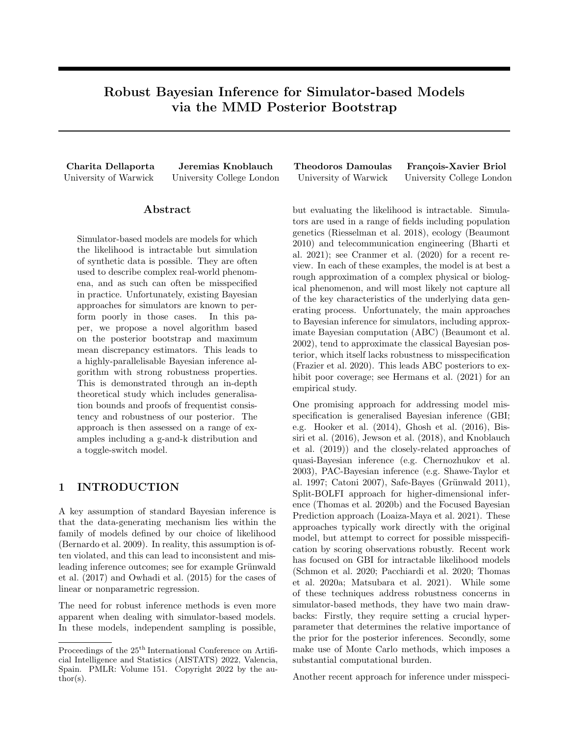

Figure 6: Histogram of 2000 samples from the g-and-k distribution with  $\theta_0 = (3, 1, 1, \log(2))$  (blue) and 2000 samples from the fitted models using the posterior mean (orange) for the NPL-MMD method (above) and the WABC method (below).

For all three experiments we use the Adam optimiser (Kingma et al. 2014) for the minimization of the MMD at each bootstrap estimation. The learning rate is set to  $\eta = 0.1$  for the Gaussian location and g-and-k models and to  $\eta = 0.04$  for the toggle-switch model. To ensure convergence, we perform 2000 optimizations steps in the toggle-switch experiment and 1000 steps for the rest.

The prior distributions set in the WABC method serve as an indication for the initialisation point of the optimization. In the Gaussian location model, a centered normal prior is imposed on the parameter, hence we initialize the optimization step at  $\theta = 0$  at each bootstrap iteration. Similarly, the g-and-k model uses a Uniform prior on  $[0, 10]$  for all parameters so we initialise at the midpoint  $(5, 5, 5, 5)$ . Finally, for the toggle-switch model we employ a random restart method as follows; 500 random values are sampled from the prior uniform distributions set in Bonassi et al. (2015) and Bernton et al. (2019). The approximated MMD loss is computed for all of them and the three initial values with the smallest loss are chosen as initial points. The optimization is performed for all three starting points for each bootstrap iteration and the estimator with the smallest loss is retained.

Finally, the length scale l of the Gaussian kernel is set using the median heuristic  $l = \sqrt{\text{median}_{1-1,j-n}(kx_i - x_jk)}$  $\overline{\frac{2}{2}})$ suggested in Gretton et al. (2012) and Dziugaite et al. (2015) in the Gaussian location example while for the g-and-k model we set  $l = 0.15$ . For the toggle-switch model, we suggest an unweighted mixture of Gaussian kernels discussed in Sutherland et al. (2017), i.e.  $k(x, x^{\theta}) = \sum_{i=1}^{I} \exp(-kx - x^{\theta} k_2^2/(2l_i^2))$  for a range of values  $l_i \n\geq f_1$ , 10, 20, 40, 80, 100, 130, 200, 400, 800, 1000 $q_i$ .

### C.3 The G-and-k Distribution

We visualise the observed data from the G-and-k distribution used in the contaminated model example of section 5 for an increasing number of outliers with  $\theta_0 = (3, 1, 1, \log(2))$ . We further provide the density obtained by generating 2000 samples from the model using the posterior mean  $\theta = \frac{1}{B} \sum_{j=1}^{B} \theta^{(j)}$  for each method. The outliers of the contaminated models are visualised on the histograms of figure 6. The densities of the fitted models show the sensitivity of the two methods to the two degrees of outliers; the densities fitted by the NPL-MMD remain similar and close to  $P_{\theta_0}$  whereas the densities fitted by WABC are affected by the outliers in the misspecifed cases. Figure 7 visualises the densities obtained at each bootstrap iteration of the NPL-MMD method. Here, each density corresponds to 2000 samples from the g-and-k distribution and parameter  $\theta^{(j)}$  for  $j = 1, \ldots, B$ . It is hence clear how each sample  $P^{(j)}$  from the DP posterior is mapped through  $\theta$  () to a value  $\theta^{(j)}$  which gives rise to a different density. As we would expect, there is more variability in the densities for higher contamination levels. Finally, we illustrate the rate obtained in Corollary 5 in the absence of outliers for the G-and-k distribution example. Since we take  $\epsilon = \alpha = 0$ , the Corollary implies that the expected MMD is bounded above by  $\frac{\beta}{\overline{p}}$ . To obtain an approximation of  $E_{x_{1:n}}$  iid  $_P$   $[E_P \hat{p} [MMD^2 (\tilde{P}, P_{\theta (P)})]]$  we perform 10 runs of the algorithm and take the posterior mean  $\hat{\theta} = \frac{1}{B} \sum_{i=1}^{B} \theta^{(i)}$  as the estimate of  $\theta$ . We then sample 15 10<sup>3</sup> instances from  $P = P_{\theta_0}$  and  $P_{\hat{\theta}}$  and estimate the squared MMD using the U-statistic in equation (21). We repeat this experiment for ten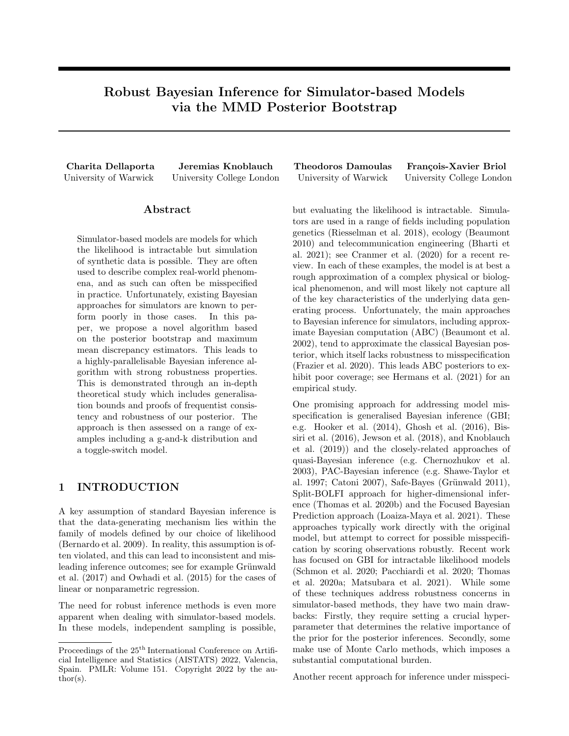

Figure 7: Realisations of the G-and-k distribution with each  $\theta^{(j)}$  where  $j = 1, \ldots, B$  obtained from the bootstrap iteration of the MMD posterior bootstrap algorithm for an increasing degree of contamination in the dataset.

values of sample size  $n \geq [250, 4000]$  and plot  $\sqrt{\mathsf{E}[\text{MMD}^2(\mathsf{P}_{\hat{\theta}}, \mathsf{P}^2)]}$  against  $\mathcal{A}_{\overline{n}}^2$  in figure 8. We observe that the estimate of the square root of the expected squared MMD is bounded above by the curve  $\frac{\partial^2}{\partial n}$  and by Jensen's inequality it is implied that the estimate of the approximate MMD will also be bounded above since:

$$
\mathsf{E}[\text{MMD}(\mathsf{P}_{\hat{\theta}}, \mathsf{P} )] \quad \sqrt{\mathsf{E}[\text{MMD}^2(\mathsf{P}_{\hat{\theta}}, \mathsf{P} )]} \quad \mathsf{P}_{\overline{n}}^2.
$$

### C.4 The Toggle-Switch Model

#### C.4.1 Description of the Simulator

For cell i and unknown parameters  $\theta = (\alpha_1, \alpha_2, \beta_1, \beta_2, \mu, \sigma, \gamma)^>$ , the simulator input is  $u_i =$  $(u_{i,1,1}, u_{i,1,2}, \ldots, u_{i,T,1}, u_{i,T,2}, u_{i,T+1,1})$  Unif([0, 1]<sup>2T+1</sup>). The simulator  $G_{\theta}$  is defined through:

$$
G_{\theta}(u_i) = \Phi^{-1}\left(\Phi\left(\frac{(\mu + v_{i,T})v_{i,T}^{\gamma}}{\mu\sigma}\right) + u_{i,T+1,1}\left(1 - \Phi\left(\frac{(\mu + v_{i,T})v_{i,T}^{\gamma}}{\mu\sigma}\right)\right)\right) \frac{\mu\sigma}{v_{i,T}^{\gamma}} + (\mu + v_{i,T})
$$

where for  $t = 1, \ldots, T$  1, we have

$$
\tilde{v}_{i,t+1} = v_{i,t} + \frac{\alpha_1}{1 + w_{i,t}^{\beta_1}} \quad (1 + 0.03v_{i,t})
$$
\n
$$
\tilde{w}_{i,t+1} = w_{i,t} + \frac{\alpha_2}{1 + v_{i,t}^{\beta_2}} \quad (1 + 0.03w_{i,t})
$$
\n
$$
v_{i,t+1} = \tilde{v}_{i,t+1} + 0.5\Phi^{-1} \left( \Phi(-2\tilde{v}_{i,t+1}) + u_{i,t,1} (1 - \Phi(-2\tilde{v}_{i,t+1})) \right)
$$
\n
$$
w_{i,t+1} = \tilde{w}_{i,t+1} + 0.5\Phi^{-1} \left( \Phi(-2\tilde{w}_{i,t+1}) + u_{i,t,2} (1 - \Phi(-2\tilde{w}_{i,t+1})) \right)
$$

and  $\Phi$  denotes the CDF of the standard Gaussian distribution. We use the initial conditions  $v_{i,0} = 10$ ,  $w_{i,0} = 10$ .

### C.5 Results Over Multiple Independent Runs

We provide results for a number of independent runs of the experiments in section 5. For each run, a new dataset was generated and B posterior samples were obtained for each parameter  $\theta$ . For each such sample, the mean estimator is recorded and the normalized mean squared error between the estimator and the true value of  $\theta$  are presented with their standard deviations in tables 2, 3 and 4 for the Gaussian location, G-and-k and Toggle-Switch models respectively.

# D ADDITIONAL EXPERIMENTS

We provide some additional experiments for our method by considering a type of misspecification other than a contamination model, comparison with MMD-Bayes in Pacchiardi et al. (2021) and exploring sensitivity to the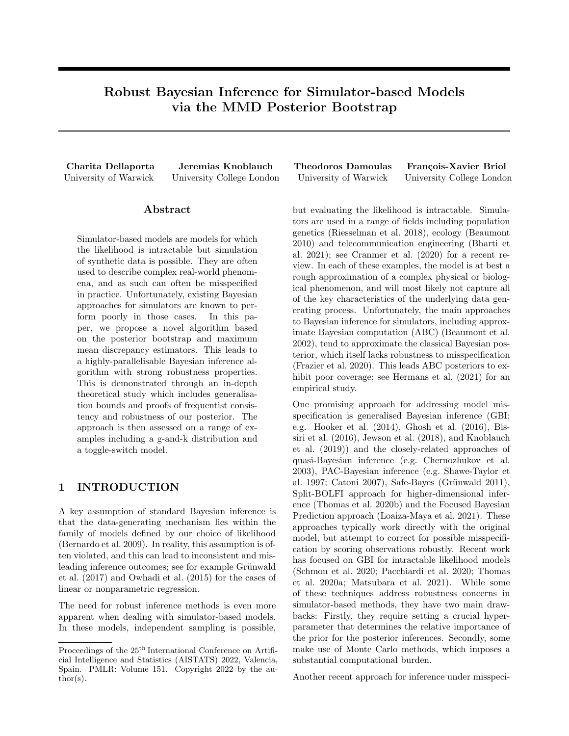

Figure 8: Illustration of the upper bound of the generalisation error in Corollary 5 in the absence of outliers for the G-and-k distribution.

| Method      | NMSE (std)       |                   |                  |  |
|-------------|------------------|-------------------|------------------|--|
|             | $\epsilon = 0$   | $\epsilon = 0.05$ | $\epsilon = 0.1$ |  |
| NPL-MMD     | 0.0107(0.00527)  | 0.00889(0.00699)  | 0.0113(0.00538)  |  |
| <b>WABC</b> | 0.743(0.0358)    | 0.768(0.0624)     | 0.757(0.0242)    |  |
| NPL-WLL     | 0.00510(0.00293) | 0.945(0.0572)     | 3.57(0.0967)     |  |

**NPL-WAS**  $\parallel$  0.00689 (0.00333)  $\parallel$  0.0189 (0.00627)  $\parallel$  0.0397 (0.0129) **MMD-ABC**  $\begin{bmatrix} 0.750 & (0.105) \end{bmatrix}$  0.755 (0.0451) 0.760 (0.0411)

Table 2: Experiment results for the Gaussian model over 10 runs

Table 3: Experiment results for the G-and-k distribution over 10 runs

| Method      | NMSE (std)        |                                     |               |  |
|-------------|-------------------|-------------------------------------|---------------|--|
|             | $\epsilon=0$      | $\epsilon = 0.05$                   |               |  |
| NPL-MMD     | 0.00791(0.00524)  | $0.0128$ (0.0117)   0.0593 (0.0255) |               |  |
| <b>WABC</b> | 0.00142(0.000965) | 0.585(0.0188)                       | 0.532(0.0109) |  |

Table 4: Experiment results for the Toggle Switch model over 5 runs

| Method  | NMSE (std)   |
|---------|--------------|
| NPL-MMD | 0.338(0.277) |
| WA BC   | 13.99(13.8)  |

DP prior (through  $\alpha$  and F), Gaussian kernel length scale l and truncation limit T.

### D.1 Misspecified Gaussian Location Model

So far in our empirical experiments we have considered the contamination model which is canonical for analysing misspecification in robust statistics, mostly because of theoretical convenience. While the model is simple, methods that are robust against contamination models usually fare well for more practically relevant alternatives, too. Figure 9 illustrates this on a new numerical example: We generate Cauchy-distributed data, but wrongly fit a Gaussian to it. The plot shows the posterior marginals for the location parameter, and vertically marks its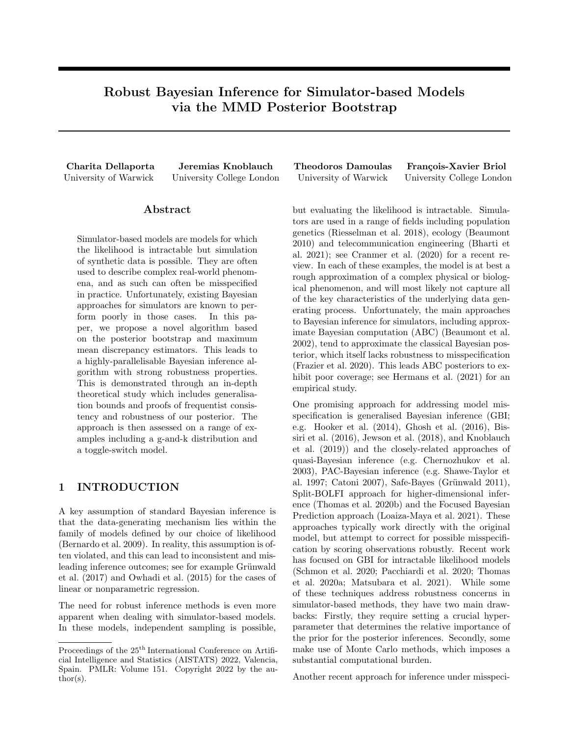

Figure 9: Marginal posterior distribution for mean of Normal location model with Cauchy data.



Figure 10: Contaminated Normal location model.

true location. The MSEs over 20 runs was 0.0289 (NPL-MMD), 48.2 (NPL-WLL) and 28.6 (Standard Bayes).

### D.2 Comparison to MMD-Bayes for the Gaussian Location Model

We further compare our method to MMD-Bayes (Kernel Score) in Pacchiardi et al. (2021) on an  $\varepsilon$ -contaminated Gaussian location model with outliers at location z, where the weight is chosen using the grid search as in Section 4.2 of Pacchiardi et al. (2021). Figure 10 below, shows the marginal posterior distributions for Standard Bayes, Kernel Score and the MMD Posterior bootstrap methods for an increasing number of outliers and location parameter.

### D.3 Sensitivity to Hyperparameters

In this section we empirically examine the sensitivity of the proposed method to several hyperparameters for the G-and-k distribution model.

### D.3.1 Sensitivity to the DP Prior

We first set  $T = n$  in (3) and F to be the Normal distribution with parameters equal to the mean and standard deviation of the observed data. Here we examine the effect of the prior in two ways; first by altering the hyperparameter  $\alpha$  of the DP prior which characterizes how much certainty we impose on  $\epsilon$  and second by choosing an increasingly 'worse' prior F, since a higher proportion of outliers leads to a worse empirical estimates of the mean and standard deviation in the Normal prior.

We generate  $B = 2^9$  bootstrap samples  $\theta_1, \ldots, \theta_B$  for different values of  $\alpha$  ranging in [0.01, 300] and take the mean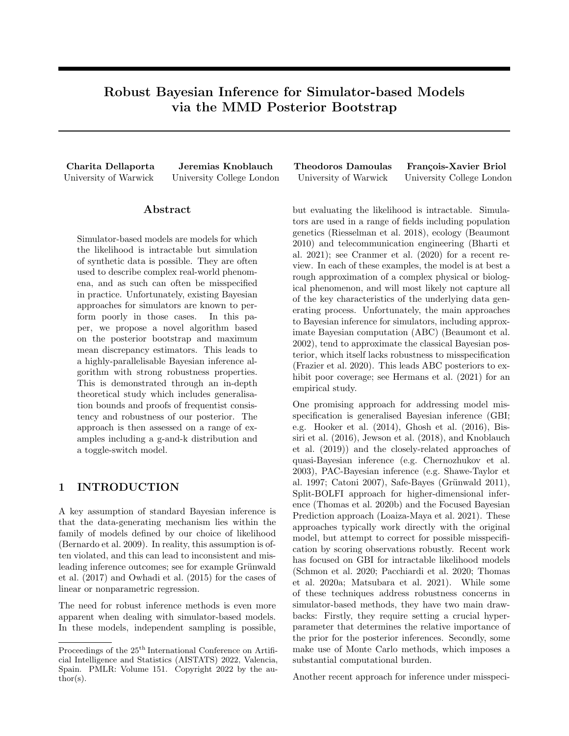

(a) Normalised mean squared error of the obtained estimator for an increasing value of  $\alpha$ , corresponding to a higher confidence in the prior centering measure F.



(b) Generator samples obtained from each estimator  $\hat{\theta}$ . Lighter (resp. darker) curves correspond to a smaller (resp. larger) value of α. The dotted line curve corresponds to the observed dataset in the well-specified case.

Figure 11: Sensitivity to DP prior.

estimator  $\hat{\theta} = \frac{1}{B} \sum_{b=1}^{B} \theta_b$  for each value of  $\alpha$ . In Figure 11, we plot (a) the normalised mean squared error for each estimator  $\hat{\theta}$  for an increasing value of  $\alpha$  and (b) samples from the generator with parameter  $\hat{\theta}$ . We observe that in the well-specified case,  $\alpha$  has no significant effect in inference, however as we would expect, a larger value of  $\alpha$ , in combination with a worse prior centering measure increasingly affects the parameter inference.

### D.3.2 Sensitivity to T

We further illustrate the effect of the truncation limit T in the approximation of the DP posterior measure in (3). We fix  $\alpha = 0.1$  and set F as in section D.3.1. We generate  $B = 2^9$  bootstrap samples  $\theta_1, \ldots, \theta_B$  for different values of T ranging in [10, 5000] and take the mean estimator  $\hat{\theta} = \frac{1}{B} \sum_{b=1}^{B} \theta_b$  for each value of T. Figure 12 shows (a) the normalised mean squared error for each estimator  $\hat{\theta}$  for an increasing value of T and (b) samples from the generator with parameter  $\hat{\theta}$ . We observe that in this example, the method is not significantly sensitive to the choice of  $T$  for all values of  $\epsilon.$ 

### D.3.3 Sensitivity to the Hyperparameter of Gaussian Kernel

We lastly investigate the effect of the length scale l of the Gaussian kernel. We fix  $\alpha = 0.1$ ,  $T = n$  and set F as in D.3.1. We generate  $B = 2^9$  bootstrap samples  $\theta_1, \ldots, \theta_B$  for different values of the length scale l of the Gaussian kernel ranging in [10<sup>-1</sup>, 10<sup>2</sup>] and take the mean estimator  $\hat{\theta} = \frac{1}{B} \sum_{b=1}^{B} \theta_b$  for each value of l. Figure 13 shows (a) the normalised mean squared error for each estimator  $\hat{\theta}$  for an increasing value of l in logarithmic scale and (b) samples from the generator with parameter  $\theta$ .

To get some more intuition we plot the MMD loss as a function of  $\theta_3 = g$  around a neighborhood of the true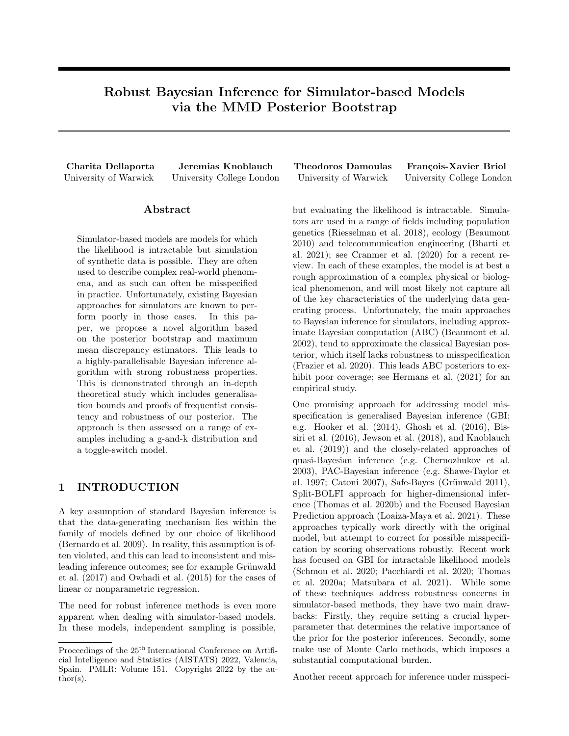

(a) Normalised mean squared error of the obtained estimator for an increasing value of T.



(b) Generator samples obtained from each estimator  $\hat{\theta}$ . Lighter (resp. darker) curves correspond to a smaller (resp. larger) value of T. The dotted line curve corresponds to the observed dataset in the well-specified case.

Figure 12: Sensitivity to parameter  $T$ , the truncation limit of the DP posterior.

parameter value  $\theta_0 = 1$ . Since there is noise in our estimate of the MMD, it is possible that we get a global minimum for some value of  $\theta_3$  far away from one. This is unlikely to happen for  $l < 1$  because there is a much bigger dip near  $\theta_0$  as can be seen in figure 14. Of course, this is just a projection of the loss landscape during optimisation, however it gives some intuition as to why a small choice of length scale in this model leads to better results.